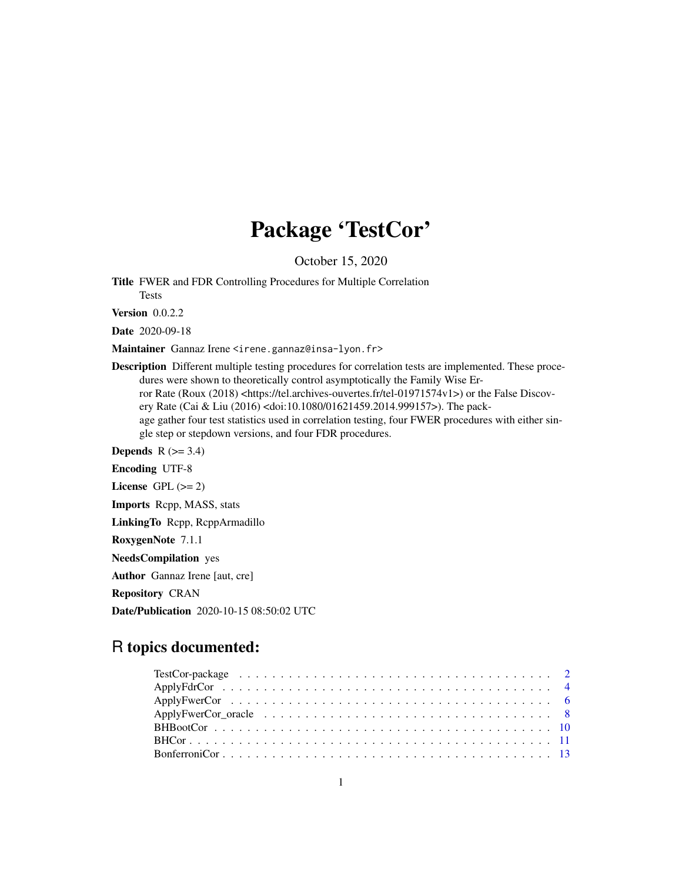# Package 'TestCor'

October 15, 2020

Title FWER and FDR Controlling Procedures for Multiple Correlation Tests

Version 0.0.2.2

Date 2020-09-18

Maintainer Gannaz Irene <irene.gannaz@insa-lyon.fr>

Description Different multiple testing procedures for correlation tests are implemented. These procedures were shown to theoretically control asymptotically the Family Wise Er-

ror Rate (Roux (2018) <https://tel.archives-ouvertes.fr/tel-01971574v1>) or the False Discovery Rate (Cai & Liu (2016) <doi:10.1080/01621459.2014.999157>). The pack-

age gather four test statistics used in correlation testing, four FWER procedures with either single step or stepdown versions, and four FDR procedures.

**Depends**  $R$  ( $>= 3.4$ )

Encoding UTF-8

License GPL  $(>= 2)$ 

Imports Rcpp, MASS, stats

LinkingTo Rcpp, RcppArmadillo

RoxygenNote 7.1.1

NeedsCompilation yes

Author Gannaz Irene [aut, cre]

Repository CRAN

Date/Publication 2020-10-15 08:50:02 UTC

# R topics documented: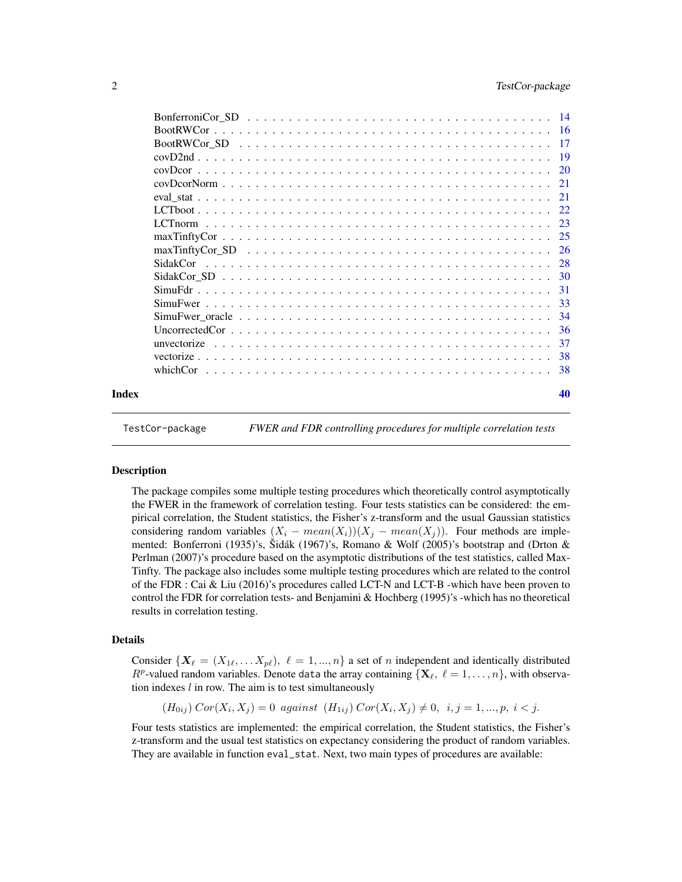<span id="page-1-0"></span>

|       | $maxT\in V$ $SD$ $\ldots$ $\ldots$ $\ldots$ $\ldots$ $\ldots$ $\ldots$ $\ldots$ $\ldots$ $\ldots$ $\ldots$ $\ldots$ $\ldots$ $\ldots$ $\ldots$ $\ldots$ $\ldots$ $\ldots$ |     |
|-------|---------------------------------------------------------------------------------------------------------------------------------------------------------------------------|-----|
|       |                                                                                                                                                                           |     |
|       |                                                                                                                                                                           |     |
|       |                                                                                                                                                                           | -31 |
|       |                                                                                                                                                                           | -33 |
|       |                                                                                                                                                                           |     |
|       |                                                                                                                                                                           | -36 |
|       |                                                                                                                                                                           | -37 |
|       |                                                                                                                                                                           |     |
|       |                                                                                                                                                                           |     |
| Index |                                                                                                                                                                           | 40  |

TestCor-package *FWER and FDR controlling procedures for multiple correlation tests*

# Description

The package compiles some multiple testing procedures which theoretically control asymptotically the FWER in the framework of correlation testing. Four tests statistics can be considered: the empirical correlation, the Student statistics, the Fisher's z-transform and the usual Gaussian statistics considering random variables  $(X_i - mean(X_i))(X_i - mean(X_i))$ . Four methods are implemented: Bonferroni (1935)'s, Šidák (1967)'s, Romano & Wolf (2005)'s bootstrap and (Drton & Perlman (2007)'s procedure based on the asymptotic distributions of the test statistics, called Max-Tinfty. The package also includes some multiple testing procedures which are related to the control of the FDR : Cai & Liu (2016)'s procedures called LCT-N and LCT-B -which have been proven to control the FDR for correlation tests- and Benjamini & Hochberg (1995)'s -which has no theoretical results in correlation testing.

#### Details

Consider  $\{X_\ell = (X_{1\ell}, \ldots X_{p\ell}), \ell = 1, ..., n\}$  a set of n independent and identically distributed  $R^p$ -valued random variables. Denote data the array containing  $\{X_\ell, \ell = 1, \ldots, n\}$ , with observation indexes  $l$  in row. The aim is to test simultaneously

 $(H_{0ij})\text{Cor}(X_i, X_j) = 0$  against  $(H_{1ij})\text{Cor}(X_i, X_j) \neq 0, i, j = 1, ..., p, i < j.$ 

Four tests statistics are implemented: the empirical correlation, the Student statistics, the Fisher's z-transform and the usual test statistics on expectancy considering the product of random variables. They are available in function eval\_stat. Next, two main types of procedures are available: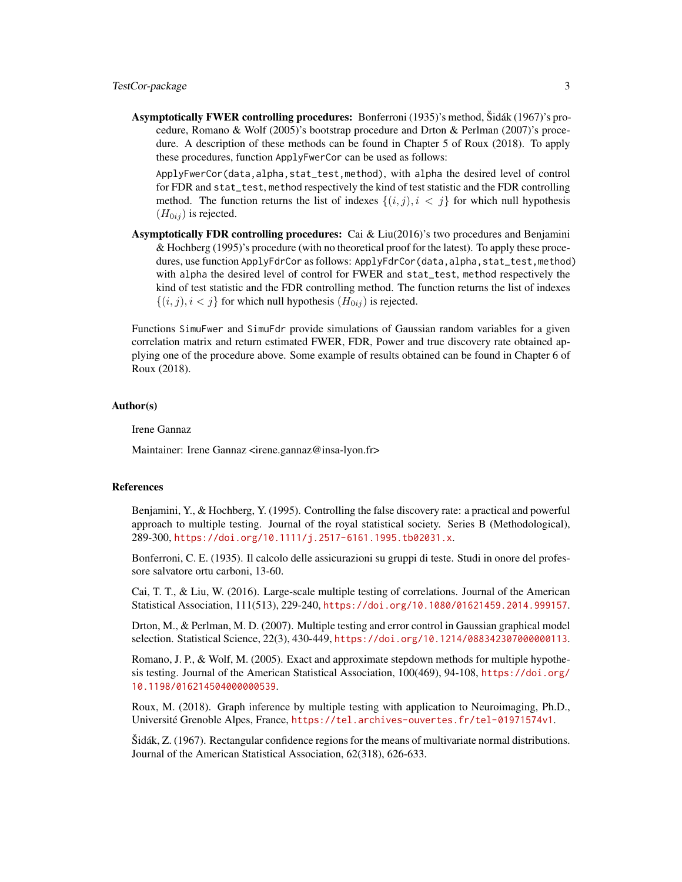Asymptotically FWER controlling procedures: Bonferroni (1935)'s method, Šidák (1967)'s procedure, Romano & Wolf (2005)'s bootstrap procedure and Drton & Perlman (2007)'s procedure. A description of these methods can be found in Chapter 5 of Roux (2018). To apply these procedures, function ApplyFwerCor can be used as follows:

ApplyFwerCor(data,alpha,stat\_test,method), with alpha the desired level of control for FDR and stat\_test, method respectively the kind of test statistic and the FDR controlling method. The function returns the list of indexes  $\{(i, j), i \leq j\}$  for which null hypothesis  $(H_{0ij})$  is rejected.

**Asymptotically FDR controlling procedures:** Cai & Liu(2016)'s two procedures and Benjamini & Hochberg (1995)'s procedure (with no theoretical proof for the latest). To apply these procedures, use function ApplyFdrCor as follows: ApplyFdrCor(data, alpha, stat\_test, method) with alpha the desired level of control for FWER and stat\_test, method respectively the kind of test statistic and the FDR controlling method. The function returns the list of indexes  $\{(i, j), i < j\}$  for which null hypothesis  $(H_{0ij})$  is rejected.

Functions SimuFwer and SimuFdr provide simulations of Gaussian random variables for a given correlation matrix and return estimated FWER, FDR, Power and true discovery rate obtained applying one of the procedure above. Some example of results obtained can be found in Chapter 6 of Roux (2018).

#### Author(s)

Irene Gannaz

Maintainer: Irene Gannaz <irene.gannaz@insa-lyon.fr>

#### References

Benjamini, Y., & Hochberg, Y. (1995). Controlling the false discovery rate: a practical and powerful approach to multiple testing. Journal of the royal statistical society. Series B (Methodological), 289-300, <https://doi.org/10.1111/j.2517-6161.1995.tb02031.x>.

Bonferroni, C. E. (1935). Il calcolo delle assicurazioni su gruppi di teste. Studi in onore del professore salvatore ortu carboni, 13-60.

Cai, T. T., & Liu, W. (2016). Large-scale multiple testing of correlations. Journal of the American Statistical Association, 111(513), 229-240, <https://doi.org/10.1080/01621459.2014.999157>.

Drton, M., & Perlman, M. D. (2007). Multiple testing and error control in Gaussian graphical model selection. Statistical Science, 22(3), 430-449, <https://doi.org/10.1214/088342307000000113>.

Romano, J. P., & Wolf, M. (2005). Exact and approximate stepdown methods for multiple hypothesis testing. Journal of the American Statistical Association, 100(469), 94-108, [https://doi.org/](https://doi.org/10.1198/016214504000000539) [10.1198/016214504000000539](https://doi.org/10.1198/016214504000000539).

Roux, M. (2018). Graph inference by multiple testing with application to Neuroimaging, Ph.D., Université Grenoble Alpes, France, <https://tel.archives-ouvertes.fr/tel-01971574v1>.

Šidák, Z. (1967). Rectangular confidence regions for the means of multivariate normal distributions. Journal of the American Statistical Association, 62(318), 626-633.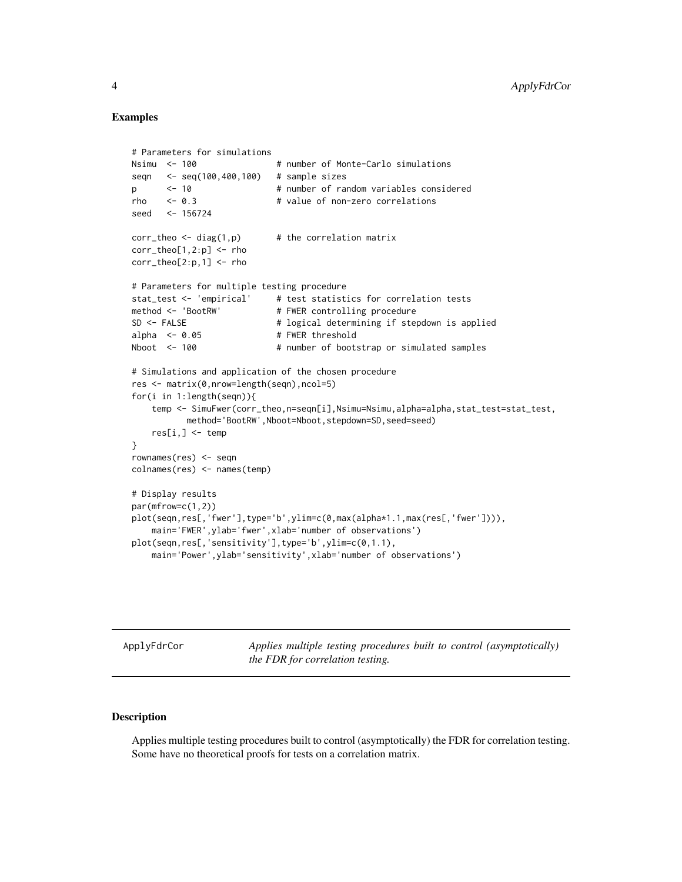#### Examples

```
# Parameters for simulations
Nsimu <- 100    # number of Monte-Carlo simulations
seqn <- seq(100,400,100) # sample sizes
p <- 10 # number of random variables considered
rho <- 0.3 # value of non-zero correlations
seed <- 156724
corr_{\text{theo}} \leftarrow \text{diag}(1,p) # the correlation matrix
corr_theo[1,2:p] <- rho
corr_theo[2:p,1] <- rho
# Parameters for multiple testing procedure
stat_test <- 'empirical' # test statistics for correlation tests
method <- 'BootRW' # FWER controlling procedure
SD <- FALSE # logical determining if stepdown is applied
alpha \leq -0.05 # FWER threshold
Nboot <- 100 # number of bootstrap or simulated samples
# Simulations and application of the chosen procedure
res <- matrix(0,nrow=length(seqn),ncol=5)
for(i in 1:length(seqn)){
   temp <- SimuFwer(corr_theo,n=seqn[i],Nsimu=Nsimu,alpha=alpha,stat_test=stat_test,
          method='BootRW',Nboot=Nboot,stepdown=SD,seed=seed)
   res[i, ] \leq - temp
}
rownames(res) <- seqn
colnames(res) <- names(temp)
# Display results
par(mfrow=c(1,2))
plot(seqn,res[,'fwer'],type='b',ylim=c(0,max(alpha*1.1,max(res[,'fwer']))),
   main='FWER',ylab='fwer',xlab='number of observations')
plot(seqn,res[,'sensitivity'],type='b',ylim=c(0,1.1),
   main='Power',ylab='sensitivity',xlab='number of observations')
```
ApplyFdrCor *Applies multiple testing procedures built to control (asymptotically) the FDR for correlation testing.*

#### Description

Applies multiple testing procedures built to control (asymptotically) the FDR for correlation testing. Some have no theoretical proofs for tests on a correlation matrix.

<span id="page-3-0"></span>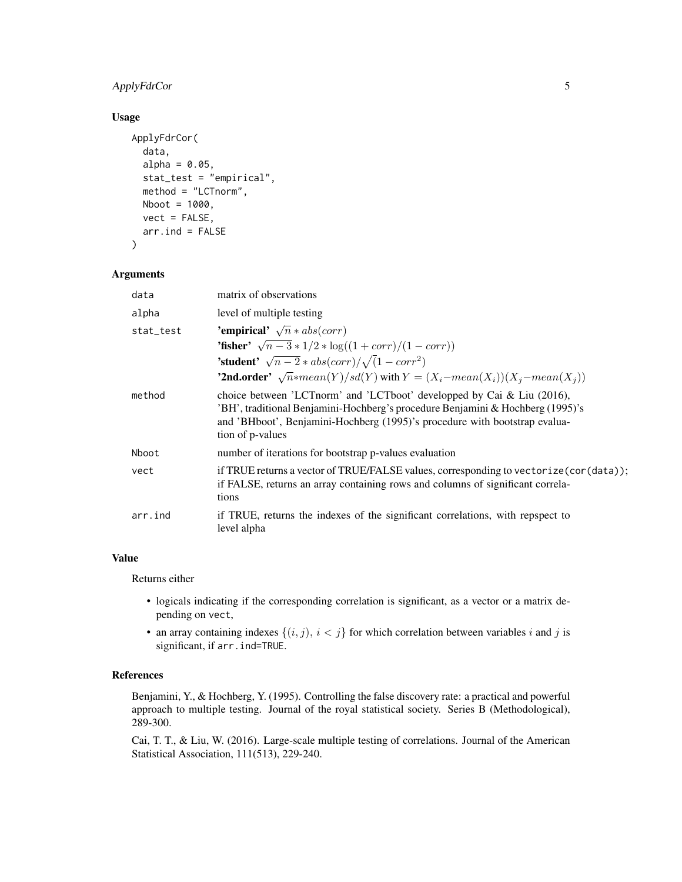# ApplyFdrCor 5

#### Usage

```
ApplyFdrCor(
  data,
  alpha = 0.05,
  stat_test = "empirical",
 method = "LCTnorm",
 Nboot = 1000,vect = FALSE,arr.ind = FALSE
\mathcal{E}
```
#### Arguments

| data      | matrix of observations                                                                                                                                                                                                                                     |
|-----------|------------------------------------------------------------------------------------------------------------------------------------------------------------------------------------------------------------------------------------------------------------|
| alpha     | level of multiple testing                                                                                                                                                                                                                                  |
| stat_test | 'empirical' $\sqrt{n} * abs(corr)$                                                                                                                                                                                                                         |
|           | <b>'fisher'</b> $\sqrt{n-3} * 1/2 * \log((1 + corr)/(1 - corr))$                                                                                                                                                                                           |
|           | <b>'student'</b> $\sqrt{n-2} * abs(corr)/\sqrt{1-corr^2}$                                                                                                                                                                                                  |
|           | <b>'2nd.order'</b> $\sqrt{n}$ *mean(Y)/sd(Y) with $Y = (X_i - mean(X_i))(X_i - mean(X_i))$                                                                                                                                                                 |
| method    | choice between 'LCTnorm' and 'LCTboot' developped by Cai & Liu (2016),<br>'BH', traditional Benjamini-Hochberg's procedure Benjamini & Hochberg (1995)'s<br>and 'BHboot', Benjamini-Hochberg (1995)'s procedure with bootstrap evalua-<br>tion of p-values |
| Nboot     | number of iterations for bootstrap p-values evaluation                                                                                                                                                                                                     |
| vect      | if TRUE returns a vector of TRUE/FALSE values, corresponding to vectorize (cor (data));<br>if FALSE, returns an array containing rows and columns of significant correla-<br>tions                                                                         |
| arr.ind   | if TRUE, returns the indexes of the significant correlations, with repspect to<br>level alpha                                                                                                                                                              |

# Value

Returns either

- logicals indicating if the corresponding correlation is significant, as a vector or a matrix depending on vect,
- an array containing indexes  $\{(i, j), i < j\}$  for which correlation between variables i and j is significant, if arr.ind=TRUE.

#### References

Benjamini, Y., & Hochberg, Y. (1995). Controlling the false discovery rate: a practical and powerful approach to multiple testing. Journal of the royal statistical society. Series B (Methodological), 289-300.

Cai, T. T., & Liu, W. (2016). Large-scale multiple testing of correlations. Journal of the American Statistical Association, 111(513), 229-240.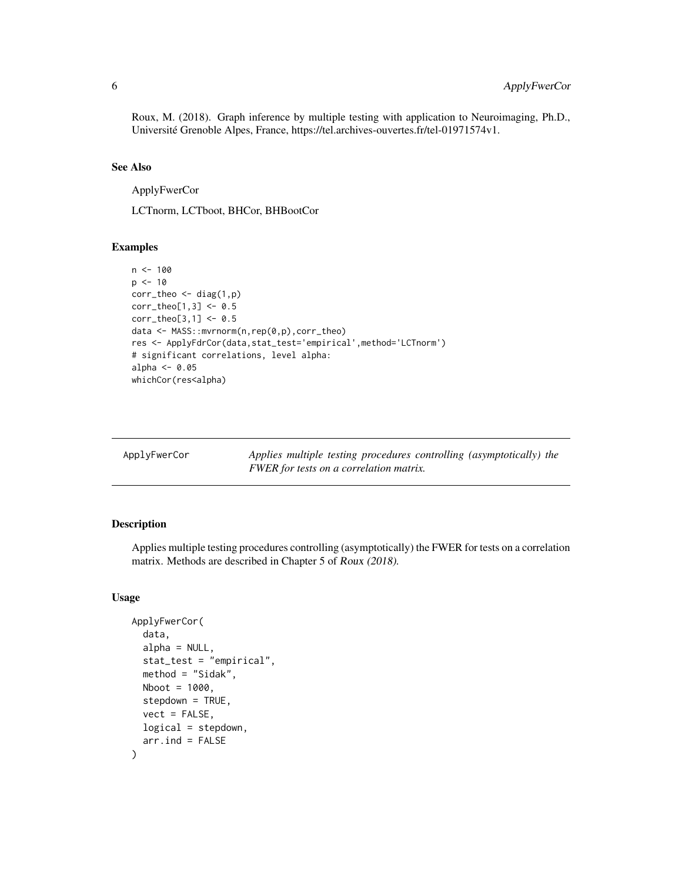<span id="page-5-0"></span>Roux, M. (2018). Graph inference by multiple testing with application to Neuroimaging, Ph.D., Université Grenoble Alpes, France, https://tel.archives-ouvertes.fr/tel-01971574v1.

#### See Also

ApplyFwerCor

LCTnorm, LCTboot, BHCor, BHBootCor

#### Examples

```
n < - 100p \le -10corr_theo <- diag(1,p)
corr_theo[1,3] <- 0.5
corr_theo[3,1] <- 0.5
data <- MASS::mvrnorm(n,rep(0,p),corr_theo)
res <- ApplyFdrCor(data,stat_test='empirical',method='LCTnorm')
# significant correlations, level alpha:
alpha <-0.05whichCor(res<alpha)
```

| ApplyFwerCor | Applies multiple testing procedures controlling (asymptotically) the |
|--------------|----------------------------------------------------------------------|
|              | FWER for tests on a correlation matrix.                              |

# Description

Applies multiple testing procedures controlling (asymptotically) the FWER for tests on a correlation matrix. Methods are described in Chapter 5 of Roux (2018).

#### Usage

```
ApplyFwerCor(
  data,
  alpha = NULL,
  stat_test = "empirical",
  method = "Sidak",
 Nboot = 1000,
  stepdown = TRUE,
  vect = FALSE,
  logical = stepdown,
  arr. ind = FALSE)
```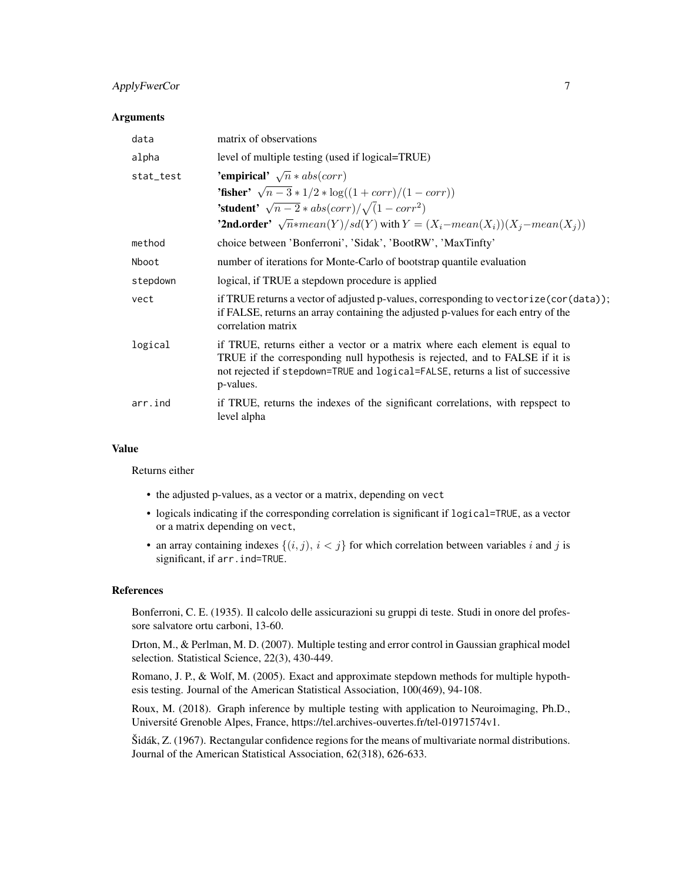# ApplyFwerCor 7

#### Arguments

| data      | matrix of observations                                                                                                                                                                                                                                    |
|-----------|-----------------------------------------------------------------------------------------------------------------------------------------------------------------------------------------------------------------------------------------------------------|
| alpha     | level of multiple testing (used if logical=TRUE)                                                                                                                                                                                                          |
| stat_test | 'empirical' $\sqrt{n} * abs(corr)$<br><b>'fisher'</b> $\sqrt{n-3} * 1/2 * \log((1 + corr)/(1 - corr))$<br><b>'student'</b> $\sqrt{n-2} * abs(corr)/\sqrt{1-corr^2}$                                                                                       |
|           | <b>'2nd.order'</b> $\sqrt{n}$ *mean(Y)/sd(Y) with $Y = (X_i - mean(X_i))(X_i - mean(X_i))$                                                                                                                                                                |
| method    | choice between 'Bonferroni', 'Sidak', 'BootRW', 'MaxTinfty'                                                                                                                                                                                               |
| Nboot     | number of iterations for Monte-Carlo of bootstrap quantile evaluation                                                                                                                                                                                     |
| stepdown  | logical, if TRUE a stepdown procedure is applied                                                                                                                                                                                                          |
| vect      | if TRUE returns a vector of adjusted p-values, corresponding to vectorize (cor (data));<br>if FALSE, returns an array containing the adjusted p-values for each entry of the<br>correlation matrix                                                        |
| logical   | if TRUE, returns either a vector or a matrix where each element is equal to<br>TRUE if the corresponding null hypothesis is rejected, and to FALSE if it is<br>not rejected if stepdown=TRUE and logical=FALSE, returns a list of successive<br>p-values. |
| arr.ind   | if TRUE, returns the indexes of the significant correlations, with repspect to<br>level alpha                                                                                                                                                             |

#### Value

Returns either

- the adjusted p-values, as a vector or a matrix, depending on vect
- logicals indicating if the corresponding correlation is significant if logical=TRUE, as a vector or a matrix depending on vect,
- an array containing indexes  $\{(i, j), i < j\}$  for which correlation between variables i and j is significant, if arr.ind=TRUE.

#### References

Bonferroni, C. E. (1935). Il calcolo delle assicurazioni su gruppi di teste. Studi in onore del professore salvatore ortu carboni, 13-60.

Drton, M., & Perlman, M. D. (2007). Multiple testing and error control in Gaussian graphical model selection. Statistical Science, 22(3), 430-449.

Romano, J. P., & Wolf, M. (2005). Exact and approximate stepdown methods for multiple hypothesis testing. Journal of the American Statistical Association, 100(469), 94-108.

Roux, M. (2018). Graph inference by multiple testing with application to Neuroimaging, Ph.D., Université Grenoble Alpes, France, https://tel.archives-ouvertes.fr/tel-01971574v1.

Šidák, Z. (1967). Rectangular confidence regions for the means of multivariate normal distributions. Journal of the American Statistical Association, 62(318), 626-633.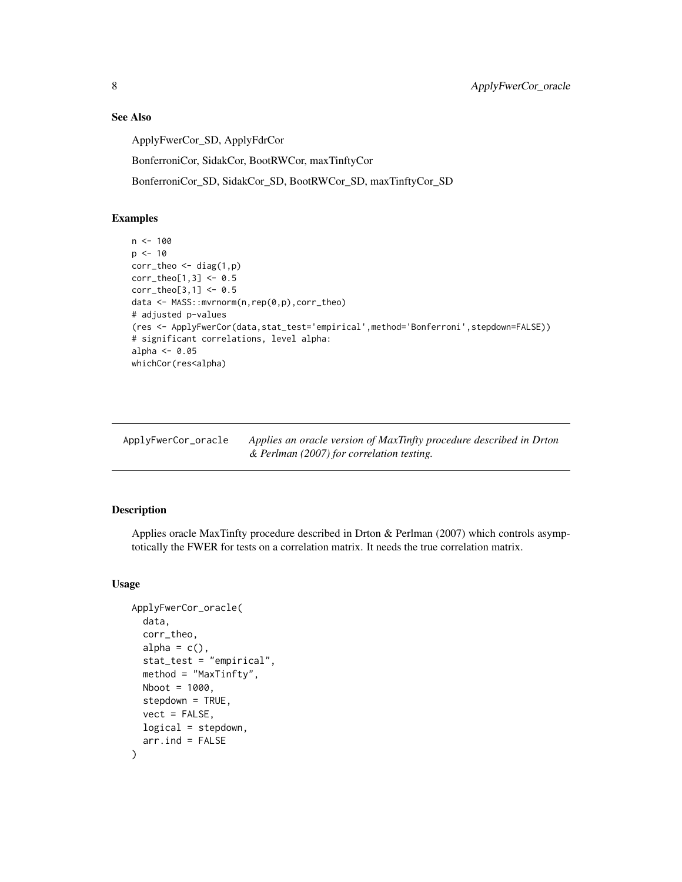# See Also

ApplyFwerCor\_SD, ApplyFdrCor

BonferroniCor, SidakCor, BootRWCor, maxTinftyCor

BonferroniCor\_SD, SidakCor\_SD, BootRWCor\_SD, maxTinftyCor\_SD

# Examples

```
n < -100p \le -10corr_{theo} < - diag(1,p)corr_{theo[1,3]} < -0.5corr_{theo[3,1]} < -0.5data <- MASS::mvrnorm(n,rep(0,p),corr_theo)
# adjusted p-values
(res <- ApplyFwerCor(data,stat_test='empirical',method='Bonferroni',stepdown=FALSE))
# significant correlations, level alpha:
alpha <- 0.05
whichCor(res<alpha)
```
ApplyFwerCor\_oracle *Applies an oracle version of MaxTinfty procedure described in Drton & Perlman (2007) for correlation testing.*

# Description

Applies oracle MaxTinfty procedure described in Drton & Perlman (2007) which controls asymptotically the FWER for tests on a correlation matrix. It needs the true correlation matrix.

#### Usage

```
ApplyFwerCor_oracle(
  data,
  corr_theo,
  alpha = c(),
  stat_test = "empirical",
  method = "MaxTinfty",
 Nboot = 1000,
  stepdown = TRUE,
  vect = FALSE,
  logical = stepdown,
  arr. ind = FALSE)
```
<span id="page-7-0"></span>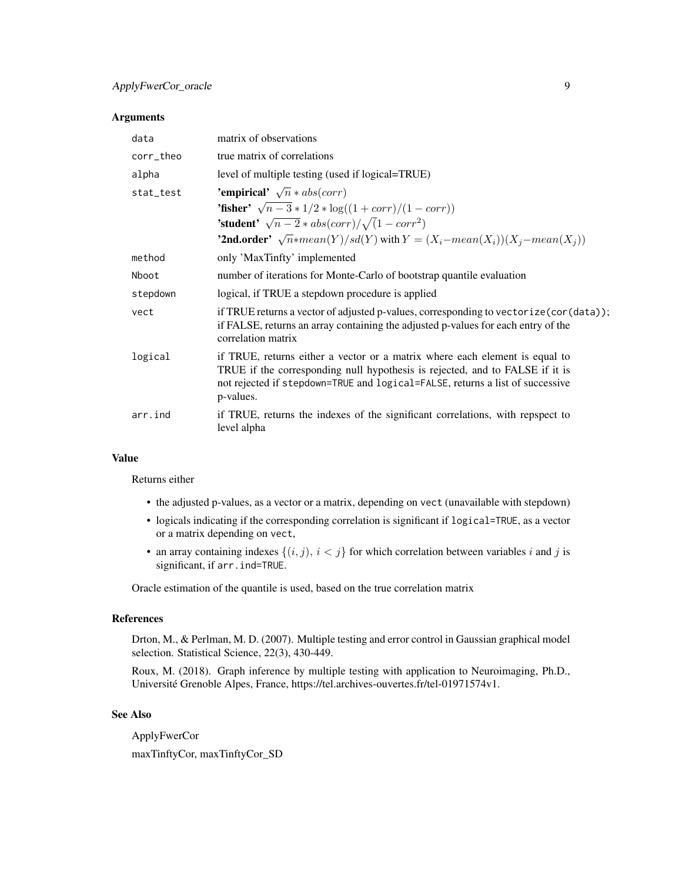#### Arguments

| data      | matrix of observations                                                                                                                                                                                                                                    |
|-----------|-----------------------------------------------------------------------------------------------------------------------------------------------------------------------------------------------------------------------------------------------------------|
| corr_theo | true matrix of correlations                                                                                                                                                                                                                               |
| alpha     | level of multiple testing (used if logical=TRUE)                                                                                                                                                                                                          |
| stat_test | 'empirical' $\sqrt{n} * abs(corr)$                                                                                                                                                                                                                        |
|           | <b>'fisher'</b> $\sqrt{n-3} * 1/2 * \log((1 + corr)/(1 - corr))$                                                                                                                                                                                          |
|           | <b>'student'</b> $\sqrt{n-2} * abs(corr)/\sqrt{1-corr^2}$                                                                                                                                                                                                 |
|           | <b>'2nd.order'</b> $\sqrt{n}$ *mean(Y)/sd(Y) with $Y = (X_i - mean(X_i))(X_i - mean(X_i))$                                                                                                                                                                |
| method    | only 'MaxTinfty' implemented                                                                                                                                                                                                                              |
| Nboot     | number of iterations for Monte-Carlo of bootstrap quantile evaluation                                                                                                                                                                                     |
| stepdown  | logical, if TRUE a stepdown procedure is applied                                                                                                                                                                                                          |
| vect      | if TRUE returns a vector of adjusted p-values, corresponding to vectorize (cor (data));<br>if FALSE, returns an array containing the adjusted p-values for each entry of the<br>correlation matrix                                                        |
| logical   | if TRUE, returns either a vector or a matrix where each element is equal to<br>TRUE if the corresponding null hypothesis is rejected, and to FALSE if it is<br>not rejected if stepdown=TRUE and logical=FALSE, returns a list of successive<br>p-values. |
| arr.ind   | if TRUE, returns the indexes of the significant correlations, with repspect to<br>level alpha                                                                                                                                                             |

#### Value

Returns either

- the adjusted p-values, as a vector or a matrix, depending on vect (unavailable with stepdown)
- logicals indicating if the corresponding correlation is significant if logical=TRUE, as a vector or a matrix depending on vect,
- an array containing indexes  $\{(i, j), i < j\}$  for which correlation between variables i and j is significant, if arr.ind=TRUE.

Oracle estimation of the quantile is used, based on the true correlation matrix

# References

Drton, M., & Perlman, M. D. (2007). Multiple testing and error control in Gaussian graphical model selection. Statistical Science, 22(3), 430-449.

Roux, M. (2018). Graph inference by multiple testing with application to Neuroimaging, Ph.D., Université Grenoble Alpes, France, https://tel.archives-ouvertes.fr/tel-01971574v1.

#### See Also

ApplyFwerCor maxTinftyCor, maxTinftyCor\_SD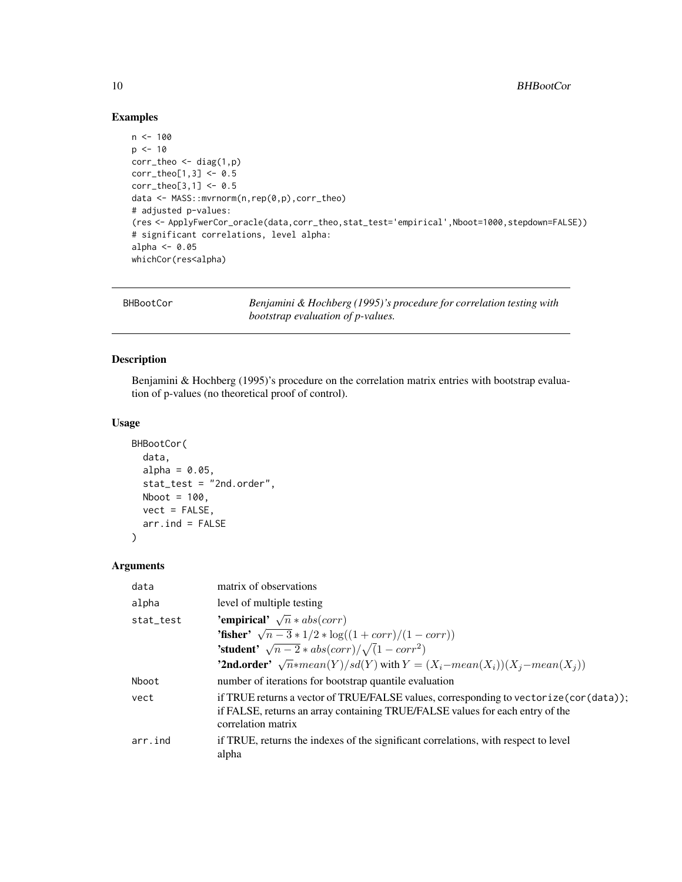#### Examples

```
n < -100p \le -10corr_{theo} < - diag(1,p)corr_{theo[1,3]} < -0.5corr_{theo[3,1]} < -0.5data <- MASS::mvrnorm(n,rep(0,p),corr_theo)
# adjusted p-values:
(res <- ApplyFwerCor_oracle(data,corr_theo,stat_test='empirical',Nboot=1000,stepdown=FALSE))
# significant correlations, level alpha:
alpha <-0.05whichCor(res<alpha)
```
BHBootCor *Benjamini & Hochberg (1995)'s procedure for correlation testing with bootstrap evaluation of p-values.*

# Description

Benjamini & Hochberg (1995)'s procedure on the correlation matrix entries with bootstrap evaluation of p-values (no theoretical proof of control).

# Usage

```
BHBootCor(
  data,
  alpha = 0.05,
  stat_test = "2nd.order",
 Nboot = 100,
 vect = FALSE,arr. ind = FALSE
)
```
#### Arguments

| data      | matrix of observations                                                                                                                                                                         |
|-----------|------------------------------------------------------------------------------------------------------------------------------------------------------------------------------------------------|
| alpha     | level of multiple testing                                                                                                                                                                      |
| stat_test | 'empirical' $\sqrt{n} * abs(corr)$                                                                                                                                                             |
|           | <b>'fisher'</b> $\sqrt{n-3} * 1/2 * \log((1 + corr)/(1 - corr))$                                                                                                                               |
|           | <b>'student'</b> $\sqrt{n-2} * abs(corr)/\sqrt{1-corr^2}$                                                                                                                                      |
|           | <b>'2nd.order'</b> $\sqrt{n}$ *mean(Y)/sd(Y) with $Y = (X_i - mean(X_i))(X_i - mean(X_i))$                                                                                                     |
| Nboot     | number of iterations for bootstrap quantile evaluation                                                                                                                                         |
| vect      | if TRUE returns a vector of TRUE/FALSE values, corresponding to vectorize (cor (data));<br>if FALSE, returns an array containing TRUE/FALSE values for each entry of the<br>correlation matrix |
| arr.ind   | if TRUE, returns the indexes of the significant correlations, with respect to level<br>alpha                                                                                                   |

<span id="page-9-0"></span>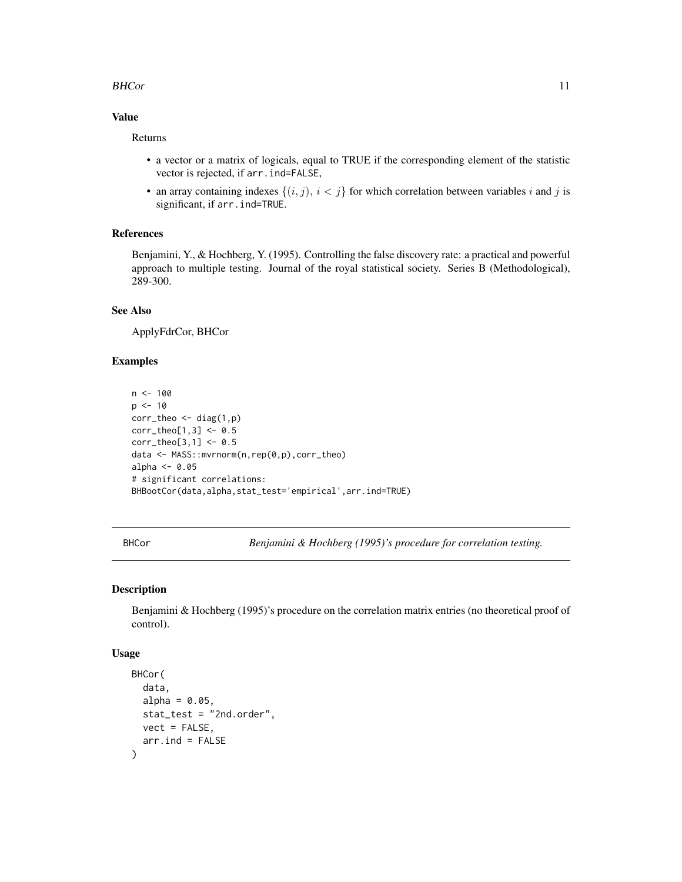#### <span id="page-10-0"></span>BHCor 11

# Value

Returns

- a vector or a matrix of logicals, equal to TRUE if the corresponding element of the statistic vector is rejected, if arr.ind=FALSE,
- an array containing indexes  $\{(i, j), i < j\}$  for which correlation between variables i and j is significant, if arr.ind=TRUE.

# References

Benjamini, Y., & Hochberg, Y. (1995). Controlling the false discovery rate: a practical and powerful approach to multiple testing. Journal of the royal statistical society. Series B (Methodological), 289-300.

#### See Also

ApplyFdrCor, BHCor

#### Examples

```
n < -100p \le -10corr_{theo} \leftarrow diag(1,p)corr_{theo[1,3] < -0.5corr_{theo[3,1]} < -0.5data <- MASS::mvrnorm(n,rep(0,p),corr_theo)
alpha <-0.05# significant correlations:
BHBootCor(data,alpha,stat_test='empirical',arr.ind=TRUE)
```
BHCor *Benjamini & Hochberg (1995)'s procedure for correlation testing.*

#### Description

Benjamini & Hochberg (1995)'s procedure on the correlation matrix entries (no theoretical proof of control).

#### Usage

```
BHCor(
  data,
 alpha = 0.05,
 stat_test = "2nd.order",
 vect = FALSE,arr.ind = FALSE
)
```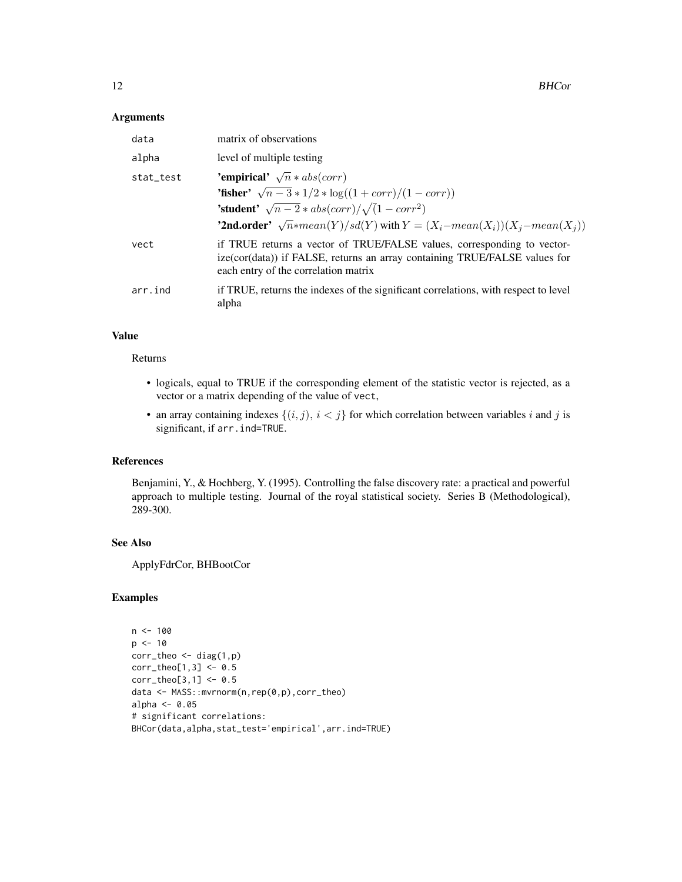#### Arguments

| data      | matrix of observations                                                                                                                                                                        |
|-----------|-----------------------------------------------------------------------------------------------------------------------------------------------------------------------------------------------|
| alpha     | level of multiple testing                                                                                                                                                                     |
| stat_test | 'empirical' $\sqrt{n} * abs(corr)$                                                                                                                                                            |
|           | <b>'fisher'</b> $\sqrt{n-3} * 1/2 * \log((1 + corr)/(1 - corr))$                                                                                                                              |
|           | <b>'student'</b> $\sqrt{n-2} * abs(corr)/\sqrt{1-corr^2}$                                                                                                                                     |
|           | <b>'2nd.order'</b> $\sqrt{n}$ *mean(Y)/sd(Y) with $Y = (X_i - mean(X_i))(X_i - mean(X_i))$                                                                                                    |
| vect      | if TRUE returns a vector of TRUE/FALSE values, corresponding to vector-<br>ize(cor(data)) if FALSE, returns an array containing TRUE/FALSE values for<br>each entry of the correlation matrix |
| arr.ind   | if TRUE, returns the indexes of the significant correlations, with respect to level<br>alpha                                                                                                  |

# Value

#### Returns

- logicals, equal to TRUE if the corresponding element of the statistic vector is rejected, as a vector or a matrix depending of the value of vect,
- an array containing indexes  $\{(i, j), i < j\}$  for which correlation between variables i and j is significant, if arr.ind=TRUE.

#### References

Benjamini, Y., & Hochberg, Y. (1995). Controlling the false discovery rate: a practical and powerful approach to multiple testing. Journal of the royal statistical society. Series B (Methodological), 289-300.

# See Also

ApplyFdrCor, BHBootCor

# Examples

```
n < - 100p \le -10corr_theo <- diag(1,p)
corr_{theo[1,3]} < -0.5corr_{theo[3,1]} < -0.5data <- MASS::mvrnorm(n,rep(0,p),corr_theo)
alpha <- 0.05
# significant correlations:
BHCor(data,alpha,stat_test='empirical',arr.ind=TRUE)
```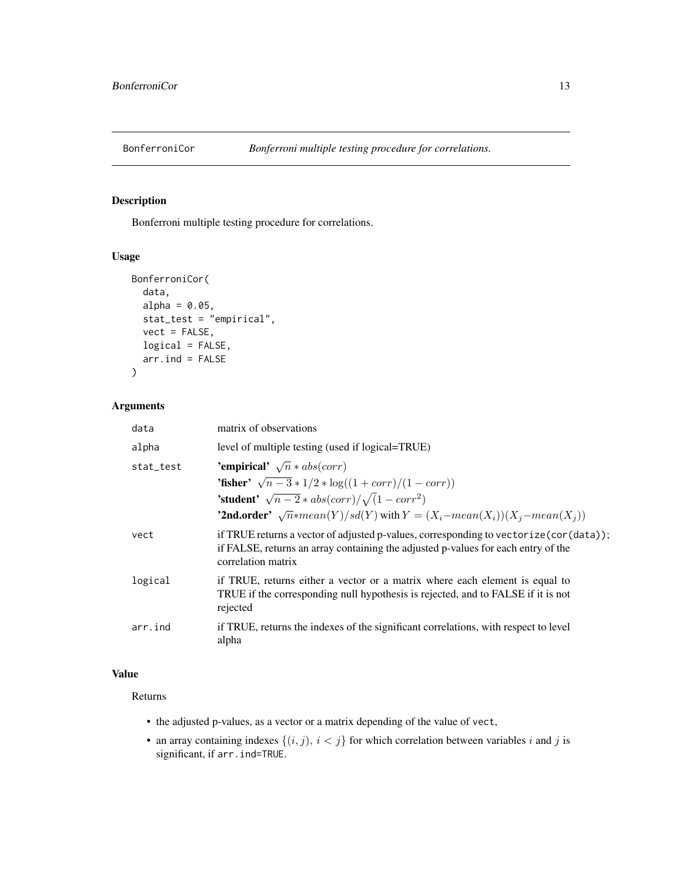<span id="page-12-0"></span>

# Description

Bonferroni multiple testing procedure for correlations.

# Usage

```
BonferroniCor(
 data,
  alpha = 0.05,
  stat_test = "empirical",
 vect = FALSE,logical = FALSE,
  arr. ind = FALSE)
```
# Arguments

| data      | matrix of observations                                                                                                                                                                             |
|-----------|----------------------------------------------------------------------------------------------------------------------------------------------------------------------------------------------------|
| alpha     | level of multiple testing (used if logical=TRUE)                                                                                                                                                   |
| stat_test | 'empirical' $\sqrt{n} * abs(corr)$                                                                                                                                                                 |
|           | <b>'fisher'</b> $\sqrt{n-3} * 1/2 * \log((1 + corr)/(1 - corr))$                                                                                                                                   |
|           | <b>'student'</b> $\sqrt{n-2} * abs(corr)/\sqrt{1-corr^2}$                                                                                                                                          |
|           | <b>'2nd.order'</b> $\sqrt{n}$ *mean(Y)/sd(Y) with $Y = (X_i - mean(X_i))(X_i - mean(X_i))$                                                                                                         |
| vect      | if TRUE returns a vector of adjusted p-values, corresponding to vectorize (cor (data));<br>if FALSE, returns an array containing the adjusted p-values for each entry of the<br>correlation matrix |
| logical   | if TRUE, returns either a vector or a matrix where each element is equal to<br>TRUE if the corresponding null hypothesis is rejected, and to FALSE if it is not<br>rejected                        |
| arr.ind   | if TRUE, returns the indexes of the significant correlations, with respect to level<br>alpha                                                                                                       |

# Value

#### Returns

- the adjusted p-values, as a vector or a matrix depending of the value of vect,
- an array containing indexes  $\{(i, j), i < j\}$  for which correlation between variables i and j is significant, if arr.ind=TRUE.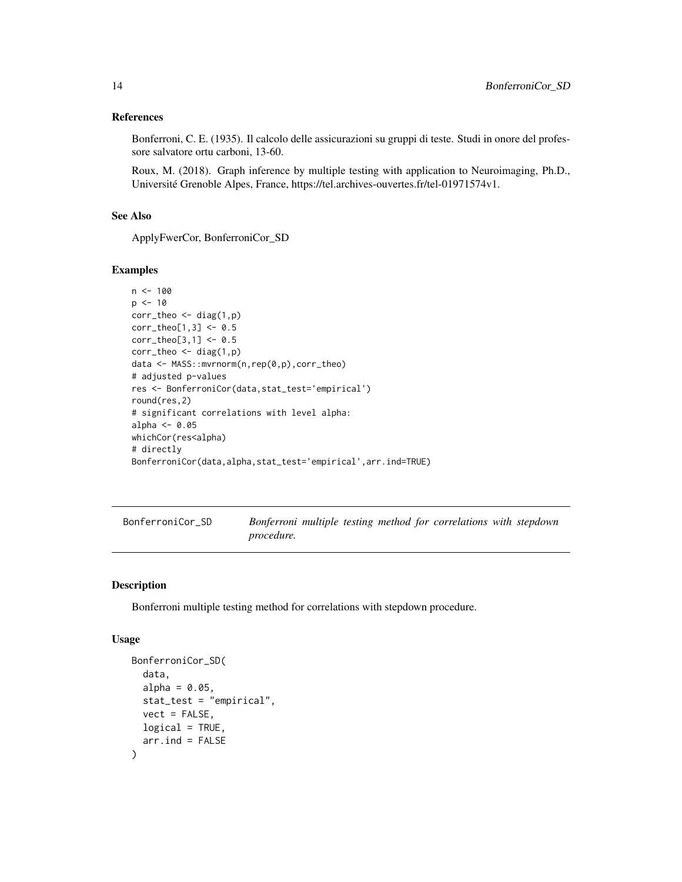#### <span id="page-13-0"></span>References

Bonferroni, C. E. (1935). Il calcolo delle assicurazioni su gruppi di teste. Studi in onore del professore salvatore ortu carboni, 13-60.

Roux, M. (2018). Graph inference by multiple testing with application to Neuroimaging, Ph.D., Université Grenoble Alpes, France, https://tel.archives-ouvertes.fr/tel-01971574v1.

# See Also

ApplyFwerCor, BonferroniCor\_SD

#### Examples

```
n < -100p \le -10corr_{theo} < - diag(1,p)corr_{theo[1,3] < -0.5corr_{theo[3,1]} < -0.5corr_{theo} < - diag(1,p)data <- MASS::mvrnorm(n,rep(0,p),corr_theo)
# adjusted p-values
res <- BonferroniCor(data,stat_test='empirical')
round(res,2)
# significant correlations with level alpha:
alpha <- 0.05
whichCor(res<alpha)
# directly
BonferroniCor(data,alpha,stat_test='empirical',arr.ind=TRUE)
```

| BonferroniCor SD |                   |  |  | Bonferroni multiple testing method for correlations with stepdown |  |
|------------------|-------------------|--|--|-------------------------------------------------------------------|--|
|                  | <i>procedure.</i> |  |  |                                                                   |  |

#### Description

Bonferroni multiple testing method for correlations with stepdown procedure.

#### Usage

```
BonferroniCor_SD(
  data,
  alpha = 0.05,
  stat_test = "empirical",
  vect = FALSE,
  logical = TRUE,arr. ind = FALSE)
```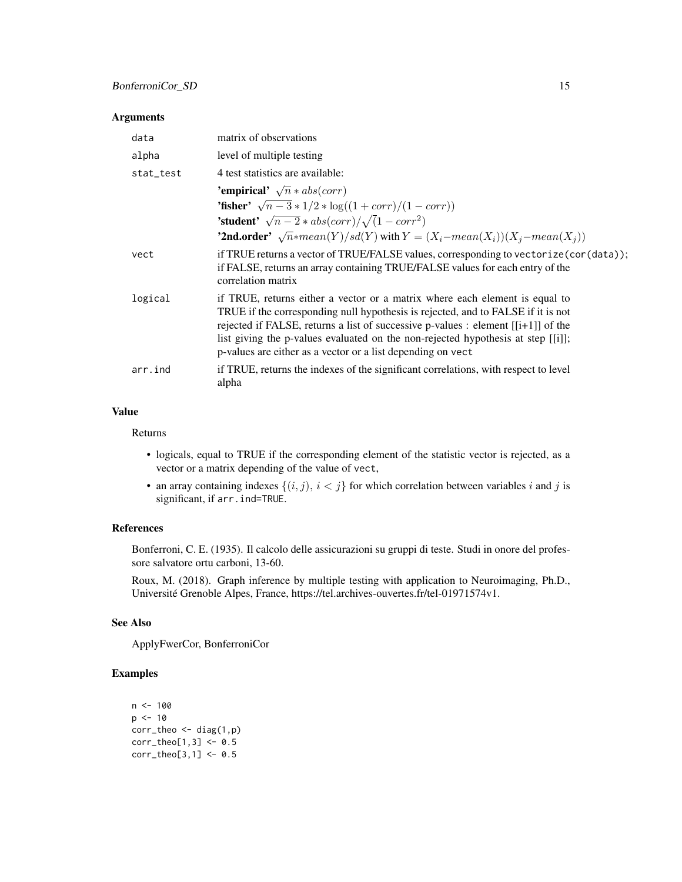#### Arguments

| data      | matrix of observations                                                                                                                                                                                                                                                                                                                                                                                    |
|-----------|-----------------------------------------------------------------------------------------------------------------------------------------------------------------------------------------------------------------------------------------------------------------------------------------------------------------------------------------------------------------------------------------------------------|
| alpha     | level of multiple testing                                                                                                                                                                                                                                                                                                                                                                                 |
| stat_test | 4 test statistics are available:                                                                                                                                                                                                                                                                                                                                                                          |
|           | 'empirical' $\sqrt{n} * abs(corr)$                                                                                                                                                                                                                                                                                                                                                                        |
|           | <b>'fisher'</b> $\sqrt{n-3} * 1/2 * \log((1 + corr)/(1 - corr))$                                                                                                                                                                                                                                                                                                                                          |
|           | <b>'student'</b> $\sqrt{n-2} * abs(corr)/\sqrt{1-corr^2}$                                                                                                                                                                                                                                                                                                                                                 |
|           | <b>'2nd.order'</b> $\sqrt{n}$ *mean(Y)/sd(Y) with $Y = (X_i - mean(X_i))(X_i - mean(X_i))$                                                                                                                                                                                                                                                                                                                |
| vect      | if TRUE returns a vector of TRUE/FALSE values, corresponding to vectorize (cor (data));<br>if FALSE, returns an array containing TRUE/FALSE values for each entry of the<br>correlation matrix                                                                                                                                                                                                            |
| logical   | if TRUE, returns either a vector or a matrix where each element is equal to<br>TRUE if the corresponding null hypothesis is rejected, and to FALSE if it is not<br>rejected if FALSE, returns a list of successive p-values : element $[[i+1]]$ of the<br>list giving the p-values evaluated on the non-rejected hypothesis at step [[i]];<br>p-values are either as a vector or a list depending on vect |
| arr.ind   | if TRUE, returns the indexes of the significant correlations, with respect to level<br>alpha                                                                                                                                                                                                                                                                                                              |

# Value

Returns

- logicals, equal to TRUE if the corresponding element of the statistic vector is rejected, as a vector or a matrix depending of the value of vect,
- an array containing indexes  $\{(i, j), i < j\}$  for which correlation between variables i and j is significant, if arr.ind=TRUE.

# References

Bonferroni, C. E. (1935). Il calcolo delle assicurazioni su gruppi di teste. Studi in onore del professore salvatore ortu carboni, 13-60.

Roux, M. (2018). Graph inference by multiple testing with application to Neuroimaging, Ph.D., Université Grenoble Alpes, France, https://tel.archives-ouvertes.fr/tel-01971574v1.

#### See Also

ApplyFwerCor, BonferroniCor

# Examples

```
n < - 100p \le -10corr_{theo} \leftarrow diag(1,p)corr_{theo[1,3]} < -0.5corr_{theo[3,1]} < -0.5
```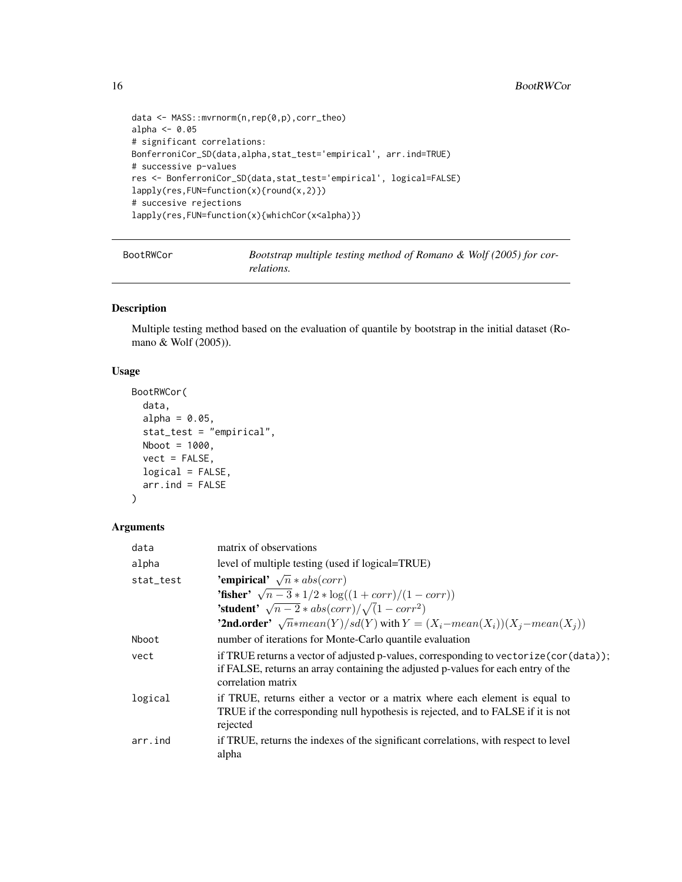```
data <- MASS::mvrnorm(n,rep(0,p),corr_theo)
alpha <- 0.05
# significant correlations:
BonferroniCor_SD(data,alpha,stat_test='empirical', arr.ind=TRUE)
# successive p-values
res <- BonferroniCor_SD(data,stat_test='empirical', logical=FALSE)
lapply(res,FUN=function(x){round(x,2)})
# succesive rejections
lapply(res,FUN=function(x){whichCor(x<alpha)})
```

| BootRWCor | Bootstrap multiple testing method of Romano & Wolf $(2005)$ for cor- |
|-----------|----------------------------------------------------------------------|
|           | relations.                                                           |

# Description

Multiple testing method based on the evaluation of quantile by bootstrap in the initial dataset (Romano & Wolf (2005)).

#### Usage

```
BootRWCor(
  data,
  alpha = 0.05,
  stat_test = "empirical",
 Nboot = 1000,vect = FALSE,logical = FALSE,
  arr. ind = FALSE\mathcal{L}
```
# Arguments

| data      | matrix of observations                                                                                                                                                                             |
|-----------|----------------------------------------------------------------------------------------------------------------------------------------------------------------------------------------------------|
| alpha     | level of multiple testing (used if logical=TRUE)                                                                                                                                                   |
| stat_test | 'empirical' $\sqrt{n} * abs(corr)$                                                                                                                                                                 |
|           | <b>'fisher'</b> $\sqrt{n-3} * 1/2 * \log((1 + corr)/(1 - corr))$                                                                                                                                   |
|           | <b>'student'</b> $\sqrt{n-2} * abs(corr)/\sqrt{1-corr^2}$                                                                                                                                          |
|           | <b>'2nd.order'</b> $\sqrt{n}$ *mean(Y)/sd(Y) with $Y = (X_i - mean(X_i))(X_i - mean(X_i))$                                                                                                         |
| Nboot     | number of iterations for Monte-Carlo quantile evaluation                                                                                                                                           |
| vect      | if TRUE returns a vector of adjusted p-values, corresponding to vectorize (cor (data));<br>if FALSE, returns an array containing the adjusted p-values for each entry of the<br>correlation matrix |
| logical   | if TRUE, returns either a vector or a matrix where each element is equal to<br>TRUE if the corresponding null hypothesis is rejected, and to FALSE if it is not<br>rejected                        |
| arr.ind   | if TRUE, returns the indexes of the significant correlations, with respect to level<br>alpha                                                                                                       |

<span id="page-15-0"></span>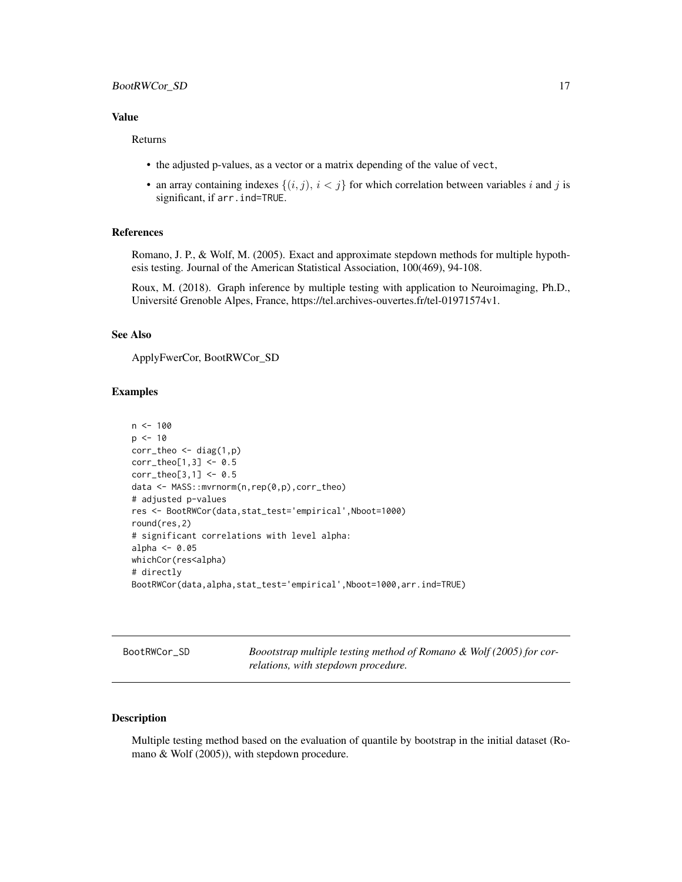#### <span id="page-16-0"></span>BootRWCor\_SD 17

#### Value

#### Returns

- the adjusted p-values, as a vector or a matrix depending of the value of vect,
- an array containing indexes  $\{(i, j), i < j\}$  for which correlation between variables i and j is significant, if arr.ind=TRUE.

#### References

Romano, J. P., & Wolf, M. (2005). Exact and approximate stepdown methods for multiple hypothesis testing. Journal of the American Statistical Association, 100(469), 94-108.

Roux, M. (2018). Graph inference by multiple testing with application to Neuroimaging, Ph.D., Université Grenoble Alpes, France, https://tel.archives-ouvertes.fr/tel-01971574v1.

#### See Also

ApplyFwerCor, BootRWCor\_SD

# Examples

```
n < -100p \le -10corr_{theo} < - diag(1,p)corr_{theo[1,3]} < -0.5corr_{theo[3,1]} < -0.5data <- MASS::mvrnorm(n,rep(0,p),corr_theo)
# adjusted p-values
res <- BootRWCor(data,stat_test='empirical',Nboot=1000)
round(res,2)
# significant correlations with level alpha:
alpha <-0.05whichCor(res<alpha)
# directly
BootRWCor(data,alpha,stat_test='empirical',Nboot=1000,arr.ind=TRUE)
```
BootRWCor\_SD *Boootstrap multiple testing method of Romano & Wolf (2005) for correlations, with stepdown procedure.*

# Description

Multiple testing method based on the evaluation of quantile by bootstrap in the initial dataset (Romano & Wolf (2005)), with stepdown procedure.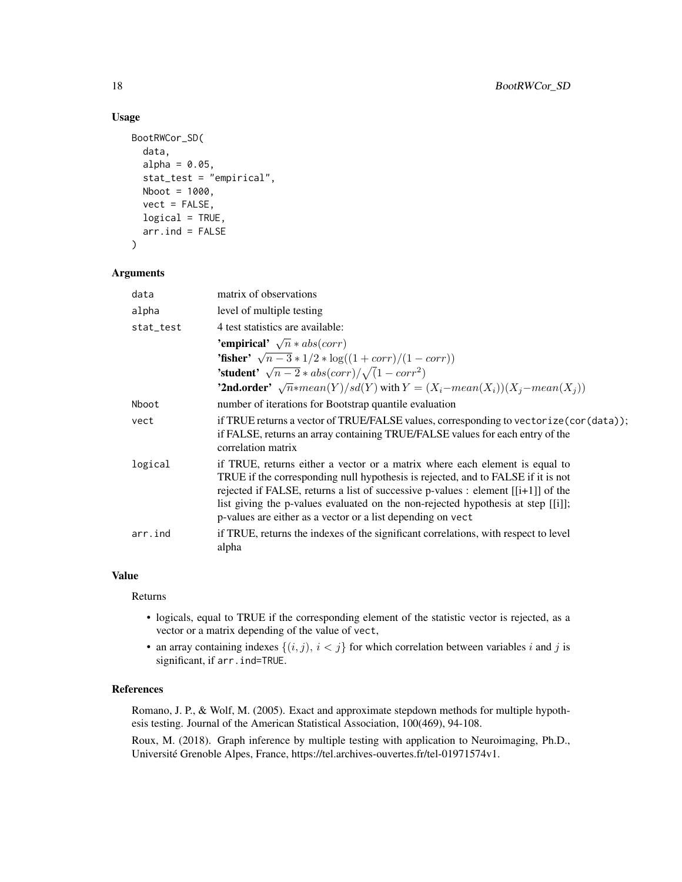# Usage

```
BootRWCor_SD(
  data,
  alpha = 0.05,
  stat_test = "empirical",
  Nboot = 1000,
  vect = FALSE,logical = TRUE,arr.ind = FALSE
\mathcal{E}
```
#### Arguments

| data      | matrix of observations                                                                                                                                                                                                                                                                                                                                                                                    |
|-----------|-----------------------------------------------------------------------------------------------------------------------------------------------------------------------------------------------------------------------------------------------------------------------------------------------------------------------------------------------------------------------------------------------------------|
| alpha     | level of multiple testing                                                                                                                                                                                                                                                                                                                                                                                 |
| stat_test | 4 test statistics are available:                                                                                                                                                                                                                                                                                                                                                                          |
|           | 'empirical' $\sqrt{n} * abs(corr)$                                                                                                                                                                                                                                                                                                                                                                        |
|           | <b>'fisher'</b> $\sqrt{n-3} * 1/2 * \log((1 + corr)/(1 - corr))$                                                                                                                                                                                                                                                                                                                                          |
|           | <b>'student'</b> $\sqrt{n-2} * abs(corr)/\sqrt{1-corr^2}$                                                                                                                                                                                                                                                                                                                                                 |
|           | <b>'2nd.order'</b> $\sqrt{n}$ *mean(Y)/sd(Y) with $Y = (X_i - mean(X_i))(X_i - mean(X_i))$                                                                                                                                                                                                                                                                                                                |
| Nboot     | number of iterations for Bootstrap quantile evaluation                                                                                                                                                                                                                                                                                                                                                    |
| vect      | if TRUE returns a vector of TRUE/FALSE values, corresponding to vectorize (cor (data));<br>if FALSE, returns an array containing TRUE/FALSE values for each entry of the<br>correlation matrix                                                                                                                                                                                                            |
| logical   | if TRUE, returns either a vector or a matrix where each element is equal to<br>TRUE if the corresponding null hypothesis is rejected, and to FALSE if it is not<br>rejected if FALSE, returns a list of successive p-values : element $[[i+1]]$ of the<br>list giving the p-values evaluated on the non-rejected hypothesis at step [[i]];<br>p-values are either as a vector or a list depending on vect |
| arr.ind   | if TRUE, returns the indexes of the significant correlations, with respect to level<br>alpha                                                                                                                                                                                                                                                                                                              |

# Value

#### Returns

- logicals, equal to TRUE if the corresponding element of the statistic vector is rejected, as a vector or a matrix depending of the value of vect,
- an array containing indexes  $\{(i, j), i < j\}$  for which correlation between variables i and j is significant, if arr.ind=TRUE.

# References

Romano, J. P., & Wolf, M. (2005). Exact and approximate stepdown methods for multiple hypothesis testing. Journal of the American Statistical Association, 100(469), 94-108.

Roux, M. (2018). Graph inference by multiple testing with application to Neuroimaging, Ph.D., Université Grenoble Alpes, France, https://tel.archives-ouvertes.fr/tel-01971574v1.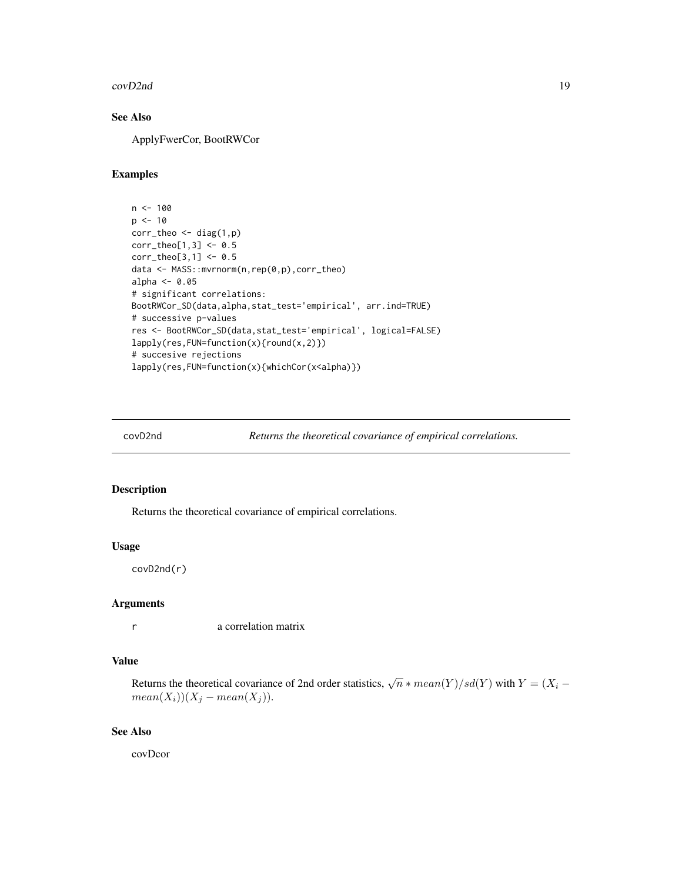<span id="page-18-0"></span>covD2nd 19

# See Also

ApplyFwerCor, BootRWCor

# Examples

```
n < - 100p \le -10corr_{theo} \leftarrow diag(1,p)corr_theo[1,3] <- 0.5
corr_theo[3,1] <- 0.5
data <- MASS::mvrnorm(n,rep(0,p),corr_theo)
alpha <- 0.05
# significant correlations:
BootRWCor_SD(data,alpha,stat_test='empirical', arr.ind=TRUE)
# successive p-values
res <- BootRWCor_SD(data,stat_test='empirical', logical=FALSE)
lapply(res,FUN=function(x){round(x,2)})
# succesive rejections
lapply(res,FUN=function(x){whichCor(x<alpha)})
```
covD2nd *Returns the theoretical covariance of empirical correlations.*

# Description

Returns the theoretical covariance of empirical correlations.

#### Usage

covD2nd(r)

#### Arguments

r a correlation matrix

# Value

Returns the theoretical covariance of 2nd order statistics,  $\sqrt{n} * mean(Y)/sd(Y)$  with  $Y = (X_i$  $mean(X_i))(X_j - mean(X_j)).$ 

#### See Also

covDcor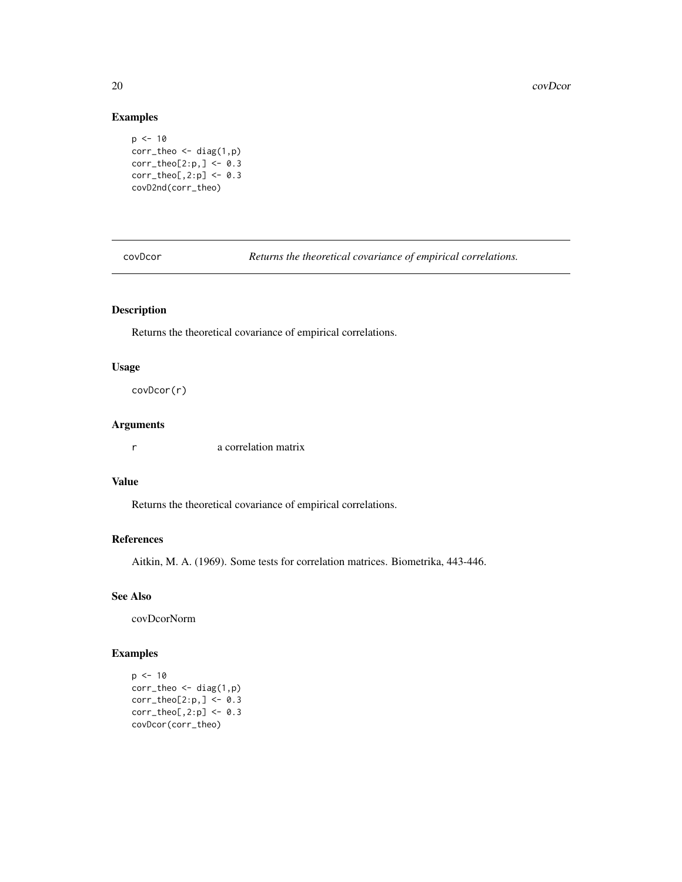# Examples

```
p \le -10corr_theo <- diag(1,p)
corr_{theo[2:p,]} \leftarrow \emptyset.3corr_{\text{theo}[,2:p]} \leftarrow 0.3covD2nd(corr_theo)
```
covDcor *Returns the theoretical covariance of empirical correlations.*

# Description

Returns the theoretical covariance of empirical correlations.

# Usage

covDcor(r)

# Arguments

r a correlation matrix

# Value

Returns the theoretical covariance of empirical correlations.

# References

Aitkin, M. A. (1969). Some tests for correlation matrices. Biometrika, 443-446.

# See Also

covDcorNorm

# Examples

```
p <- 10
corr_{theo} \leftarrow diag(1,p)corr_{\text{theo[2:p]} \leftarrow 0.3corr_{theo[,2:p] \leftarrow \emptyset.3covDcor(corr_theo)
```
<span id="page-19-0"></span>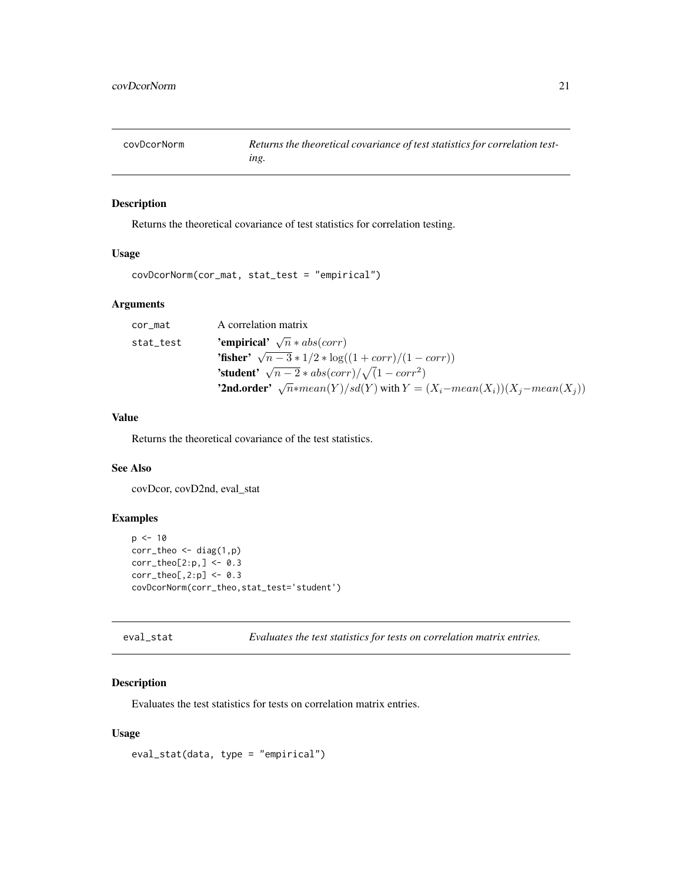<span id="page-20-0"></span>covDcorNorm *Returns the theoretical covariance of test statistics for correlation testing.*

# Description

Returns the theoretical covariance of test statistics for correlation testing.

# Usage

```
covDcorNorm(cor_mat, stat_test = "empirical")
```
# Arguments

| cor_mat   | A correlation matrix                                                                       |
|-----------|--------------------------------------------------------------------------------------------|
| stat_test | <b>'empirical'</b> $\sqrt{n} * abs(corr)$                                                  |
|           | <b>'fisher'</b> $\sqrt{n-3} * 1/2 * \log((1 + corr)/(1 - corr))$                           |
|           | <b>'student'</b> $\sqrt{n-2} * abs(corr)/\sqrt{1-corr^2}$                                  |
|           | <b>'2nd.order'</b> $\sqrt{n}$ *mean(Y)/sd(Y) with $Y = (X_i - mean(X_i))(X_j - mean(X_j))$ |

### Value

Returns the theoretical covariance of the test statistics.

# See Also

covDcor, covD2nd, eval\_stat

# Examples

```
p \le -10corr_theo <- diag(1,p)
corr_{theo[2:p,]} \leftarrow \emptyset.3corr_theo[,2:p] <- 0.3
covDcorNorm(corr_theo,stat_test='student')
```
eval\_stat *Evaluates the test statistics for tests on correlation matrix entries.*

# Description

Evaluates the test statistics for tests on correlation matrix entries.

#### Usage

eval\_stat(data, type = "empirical")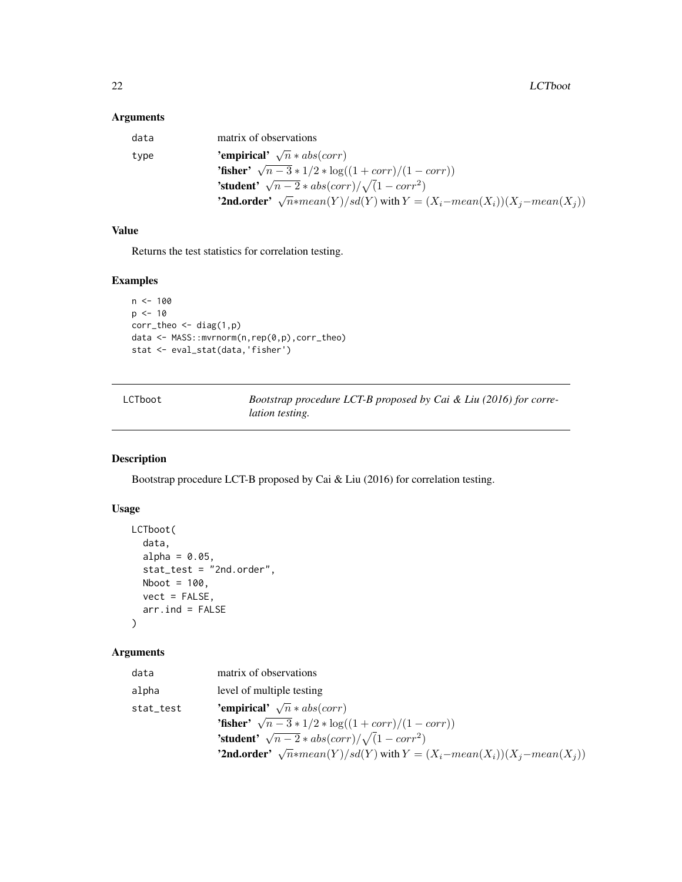# <span id="page-21-0"></span>Arguments

| data | matrix of observations                                                                     |
|------|--------------------------------------------------------------------------------------------|
| type | <b>'empirical'</b> $\sqrt{n} * abs(corr)$                                                  |
|      | <b>'fisher'</b> $\sqrt{n-3} * 1/2 * \log((1 + corr)/(1 - corr))$                           |
|      | <b>'student'</b> $\sqrt{n-2} * abs(corr)/\sqrt{1-corr^2}$                                  |
|      | <b>'2nd.order'</b> $\sqrt{n}$ *mean(Y)/sd(Y) with $Y = (X_i - mean(X_i))(X_j - mean(X_j))$ |

# Value

Returns the test statistics for correlation testing.

# Examples

```
n < - 100p \le -10corr_theo <- diag(1,p)
data <- MASS::mvrnorm(n,rep(0,p),corr_theo)
stat <- eval_stat(data,'fisher')
```

| LCTboot |
|---------|
|         |

Bootstrap procedure LCT-B proposed by Cai & Liu (2016) for corre*lation testing.*

# Description

Bootstrap procedure LCT-B proposed by Cai & Liu (2016) for correlation testing.

# Usage

```
LCTboot(
  data,
  alpha = 0.05,
  stat_test = "2nd.order",
  Nboot = 100,
  vect = FALSE,arr.ind = FALSE
)
```
# Arguments

| data      | matrix of observations                                                                     |
|-----------|--------------------------------------------------------------------------------------------|
| alpha     | level of multiple testing                                                                  |
| stat_test | 'empirical' $\sqrt{n} * abs(corr)$                                                         |
|           | <b>'fisher'</b> $\sqrt{n-3} * 1/2 * \log((1 + corr)/(1 - corr))$                           |
|           | <b>'student'</b> $\sqrt{n-2} * abs(corr)/\sqrt{1-corr^2}$                                  |
|           | <b>'2nd.order'</b> $\sqrt{n}$ *mean(Y)/sd(Y) with $Y = (X_i - mean(X_i))(X_j - mean(X_j))$ |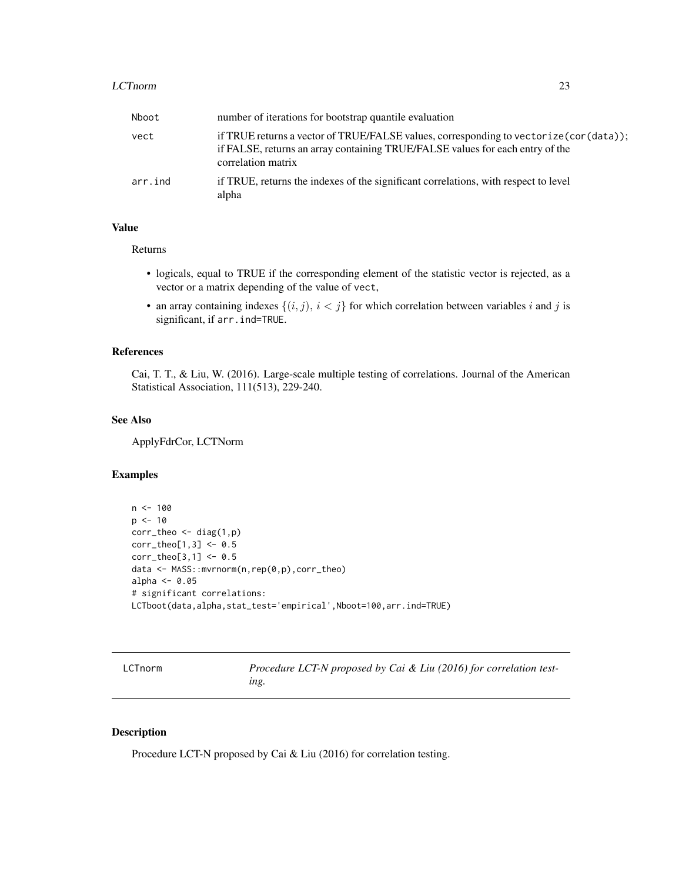#### <span id="page-22-0"></span>LCTnorm 23

| Nboot   | number of iterations for bootstrap quantile evaluation                                                                                                                                        |
|---------|-----------------------------------------------------------------------------------------------------------------------------------------------------------------------------------------------|
| vect    | if TRUE returns a vector of TRUE/FALSE values, corresponding to vectorize (cor(data));<br>if FALSE, returns an array containing TRUE/FALSE values for each entry of the<br>correlation matrix |
| arr.ind | if TRUE, returns the indexes of the significant correlations, with respect to level<br>alpha                                                                                                  |

# Value

Returns

- logicals, equal to TRUE if the corresponding element of the statistic vector is rejected, as a vector or a matrix depending of the value of vect,
- an array containing indexes  $\{(i, j), i < j\}$  for which correlation between variables i and j is significant, if arr.ind=TRUE.

#### References

Cai, T. T., & Liu, W. (2016). Large-scale multiple testing of correlations. Journal of the American Statistical Association, 111(513), 229-240.

#### See Also

ApplyFdrCor, LCTNorm

#### Examples

```
n < -100p \le -10corr_{theo} \leftarrow diag(1,p)corr_theo[1,3] <- 0.5
corr_theo[3,1] <- 0.5
data <- MASS::mvrnorm(n,rep(0,p),corr_theo)
alpha <- 0.05
# significant correlations:
LCTboot(data,alpha,stat_test='empirical',Nboot=100,arr.ind=TRUE)
```
LCTnorm *Procedure LCT-N proposed by Cai & Liu (2016) for correlation testing.*

#### Description

Procedure LCT-N proposed by Cai & Liu (2016) for correlation testing.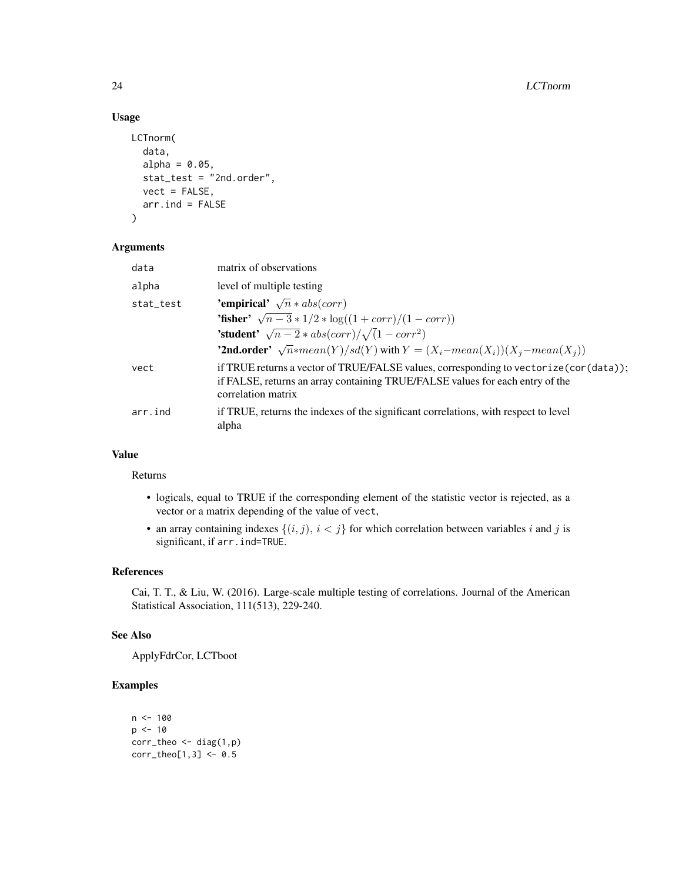# Usage

```
LCTnorm(
  data,
  alpha = 0.05,
  stat_test = "2nd.order",
 vect = FALSE,arr.ind = FALSE
)
```
# Arguments

| data      | matrix of observations                                                                                                                                                                         |
|-----------|------------------------------------------------------------------------------------------------------------------------------------------------------------------------------------------------|
| alpha     | level of multiple testing                                                                                                                                                                      |
| stat_test | <b>'empirical'</b> $\sqrt{n} * abs(corr)$                                                                                                                                                      |
|           | <b>'fisher'</b> $\sqrt{n-3} * 1/2 * \log((1 + corr)/(1 - corr))$                                                                                                                               |
|           | <b>'student'</b> $\sqrt{n-2} * abs(corr)/\sqrt{1-corr^2}$                                                                                                                                      |
|           | <b>'2nd.order'</b> $\sqrt{n}$ *mean(Y)/sd(Y) with $Y = (X_i - mean(X_i))(X_i - mean(X_i))$                                                                                                     |
| vect      | if TRUE returns a vector of TRUE/FALSE values, corresponding to vectorize (cor (data));<br>if FALSE, returns an array containing TRUE/FALSE values for each entry of the<br>correlation matrix |
| arr.ind   | if TRUE, returns the indexes of the significant correlations, with respect to level<br>alpha                                                                                                   |

# Value

# Returns

- logicals, equal to TRUE if the corresponding element of the statistic vector is rejected, as a vector or a matrix depending of the value of vect,
- an array containing indexes  $\{(i, j), i < j\}$  for which correlation between variables i and j is significant, if arr.ind=TRUE.

# References

Cai, T. T., & Liu, W. (2016). Large-scale multiple testing of correlations. Journal of the American Statistical Association, 111(513), 229-240.

#### See Also

ApplyFdrCor, LCTboot

# Examples

```
n < -100p \le -10corr_{theo} \leftarrow diag(1,p)corr_{theo[1,3]} < -0.5
```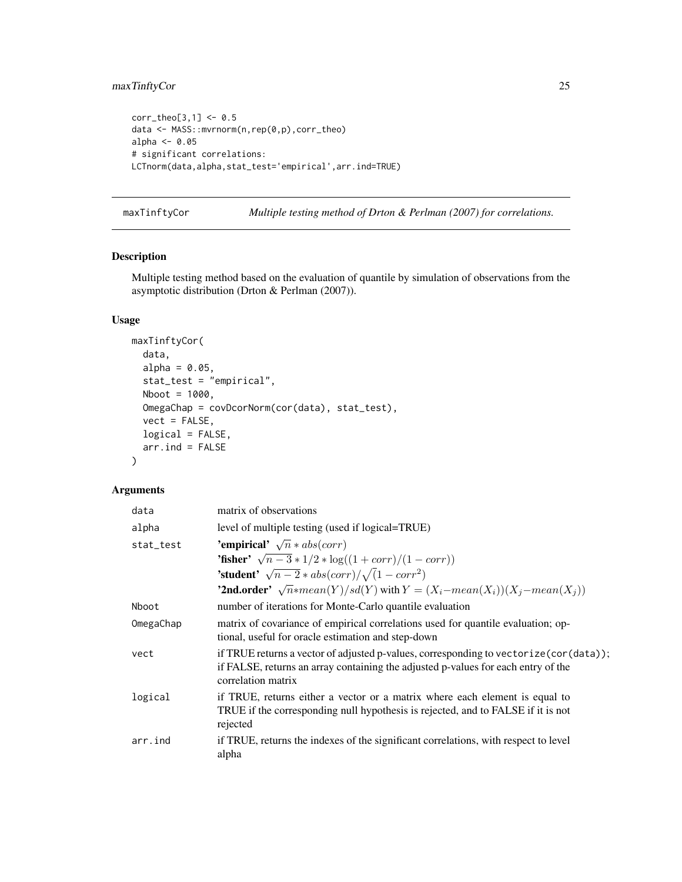# <span id="page-24-0"></span>maxTinftyCor 25

```
corr_{theo[3,1]} < -0.5data <- MASS::mvrnorm(n,rep(0,p),corr_theo)
alpha <- 0.05
# significant correlations:
LCTnorm(data,alpha,stat_test='empirical',arr.ind=TRUE)
```
maxTinftyCor *Multiple testing method of Drton & Perlman (2007) for correlations.*

# Description

Multiple testing method based on the evaluation of quantile by simulation of observations from the asymptotic distribution (Drton & Perlman (2007)).

# Usage

```
maxTinftyCor(
  data,
  alpha = 0.05,
  stat_test = "empirical",
 Nboot = 1000,OmegaChap = covDcorNorm(cor(data), stat_test),
  vect = FALSE,logical = FALSE,
  arr.ind = FALSE
\lambda
```
# Arguments

| data      | matrix of observations                                                                                                                                                                             |
|-----------|----------------------------------------------------------------------------------------------------------------------------------------------------------------------------------------------------|
| alpha     | level of multiple testing (used if logical=TRUE)                                                                                                                                                   |
| stat_test | 'empirical' $\sqrt{n} * abs(corr)$                                                                                                                                                                 |
|           | <b>'fisher'</b> $\sqrt{n-3} * 1/2 * \log((1 + corr)/(1 - corr))$                                                                                                                                   |
|           | <b>'student'</b> $\sqrt{n-2} * abs(corr)/\sqrt{1-corr^2}$                                                                                                                                          |
|           | <b>'2nd.order'</b> $\sqrt{n}$ *mean(Y)/sd(Y) with $Y = (X_i - mean(X_i))(X_j - mean(X_j))$                                                                                                         |
| Nboot     | number of iterations for Monte-Carlo quantile evaluation                                                                                                                                           |
| OmegaChap | matrix of covariance of empirical correlations used for quantile evaluation; op-<br>tional, useful for oracle estimation and step-down                                                             |
| vect      | if TRUE returns a vector of adjusted p-values, corresponding to vectorize (cor (data));<br>if FALSE, returns an array containing the adjusted p-values for each entry of the<br>correlation matrix |
| logical   | if TRUE, returns either a vector or a matrix where each element is equal to<br>TRUE if the corresponding null hypothesis is rejected, and to FALSE if it is not<br>rejected                        |
| arr.ind   | if TRUE, returns the indexes of the significant correlations, with respect to level<br>alpha                                                                                                       |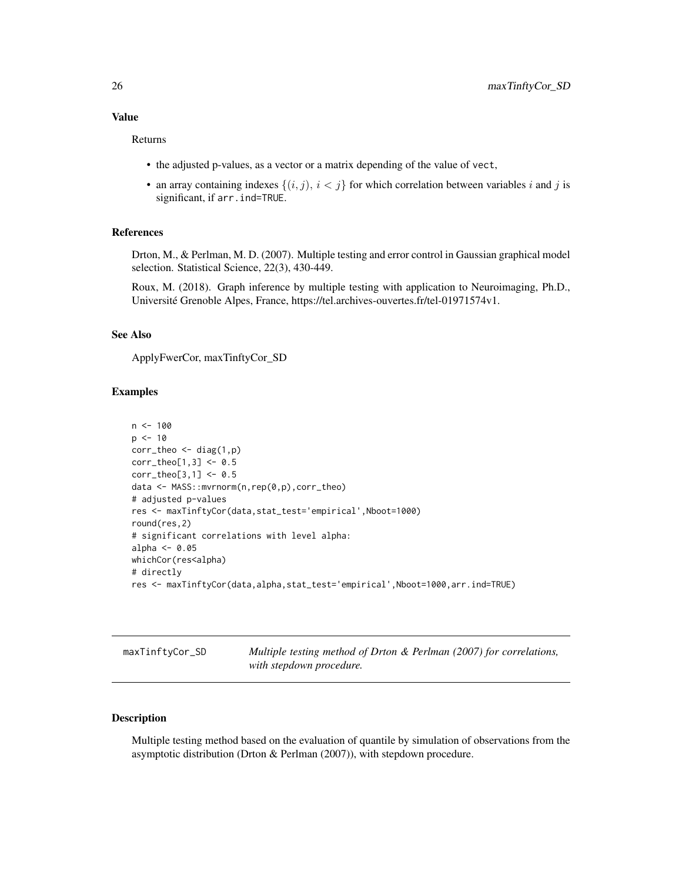#### <span id="page-25-0"></span>Value

Returns

- the adjusted p-values, as a vector or a matrix depending of the value of vect,
- an array containing indexes  $\{(i, j), i < j\}$  for which correlation between variables i and j is significant, if arr.ind=TRUE.

#### References

Drton, M., & Perlman, M. D. (2007). Multiple testing and error control in Gaussian graphical model selection. Statistical Science, 22(3), 430-449.

Roux, M. (2018). Graph inference by multiple testing with application to Neuroimaging, Ph.D., Université Grenoble Alpes, France, https://tel.archives-ouvertes.fr/tel-01971574v1.

#### See Also

ApplyFwerCor, maxTinftyCor\_SD

# Examples

```
n < -100p \le -10corr_{theo} < - diag(1,p)corr_{theo[1,3]} < -0.5corr_{theo[3,1]} < -0.5data <- MASS::mvrnorm(n,rep(0,p),corr_theo)
# adjusted p-values
res <- maxTinftyCor(data,stat_test='empirical',Nboot=1000)
round(res,2)
# significant correlations with level alpha:
alpha <-0.05whichCor(res<alpha)
# directly
res <- maxTinftyCor(data,alpha,stat_test='empirical',Nboot=1000,arr.ind=TRUE)
```
maxTinftyCor\_SD *Multiple testing method of Drton & Perlman (2007) for correlations, with stepdown procedure.*

# Description

Multiple testing method based on the evaluation of quantile by simulation of observations from the asymptotic distribution (Drton & Perlman (2007)), with stepdown procedure.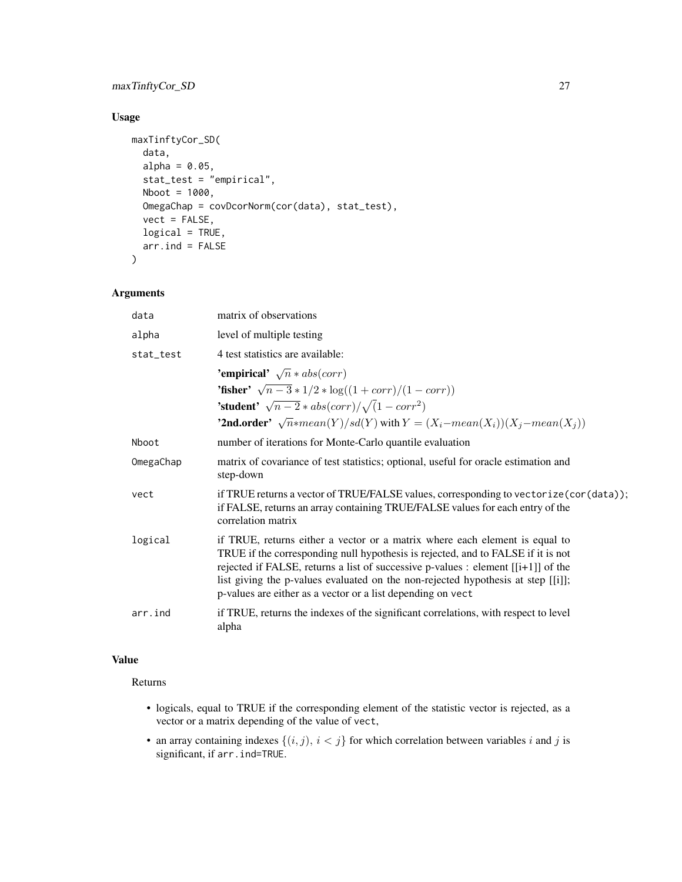# maxTinftyCor\_SD 27

# Usage

```
maxTinftyCor_SD(
  data,
 alpha = 0.05,
 stat_test = "empirical",
 Nboot = 1000,OmegaChap = covDcorNorm(cor(data), stat_test),
 vect = FALSE,logical = TRUE,
 arr. ind = FALSE)
```
# Arguments

| data      | matrix of observations                                                                                                                                                                                                                                                                                                                                                                                    |
|-----------|-----------------------------------------------------------------------------------------------------------------------------------------------------------------------------------------------------------------------------------------------------------------------------------------------------------------------------------------------------------------------------------------------------------|
| alpha     | level of multiple testing                                                                                                                                                                                                                                                                                                                                                                                 |
| stat_test | 4 test statistics are available:                                                                                                                                                                                                                                                                                                                                                                          |
|           | 'empirical' $\sqrt{n} * abs(corr)$                                                                                                                                                                                                                                                                                                                                                                        |
|           | <b>'fisher'</b> $\sqrt{n-3} * 1/2 * \log((1 + corr)/(1 - corr))$                                                                                                                                                                                                                                                                                                                                          |
|           | <b>'student'</b> $\sqrt{n-2} * abs(corr)/\sqrt{1-corr^2}$                                                                                                                                                                                                                                                                                                                                                 |
|           | <b>'2nd.order'</b> $\sqrt{n}$ *mean(Y)/sd(Y) with $Y = (X_i - mean(X_i))(X_i - mean(X_i))$                                                                                                                                                                                                                                                                                                                |
| Nboot     | number of iterations for Monte-Carlo quantile evaluation                                                                                                                                                                                                                                                                                                                                                  |
| OmegaChap | matrix of covariance of test statistics; optional, useful for oracle estimation and<br>step-down                                                                                                                                                                                                                                                                                                          |
| vect      | if TRUE returns a vector of TRUE/FALSE values, corresponding to vectorize (cor (data));<br>if FALSE, returns an array containing TRUE/FALSE values for each entry of the<br>correlation matrix                                                                                                                                                                                                            |
| logical   | if TRUE, returns either a vector or a matrix where each element is equal to<br>TRUE if the corresponding null hypothesis is rejected, and to FALSE if it is not<br>rejected if FALSE, returns a list of successive p-values : element $[[i+1]]$ of the<br>list giving the p-values evaluated on the non-rejected hypothesis at step [[i]];<br>p-values are either as a vector or a list depending on vect |
| arr.ind   | if TRUE, returns the indexes of the significant correlations, with respect to level<br>alpha                                                                                                                                                                                                                                                                                                              |

# Value

Returns

- logicals, equal to TRUE if the corresponding element of the statistic vector is rejected, as a vector or a matrix depending of the value of vect,
- an array containing indexes  $\{(i, j), i < j\}$  for which correlation between variables i and j is significant, if arr.ind=TRUE.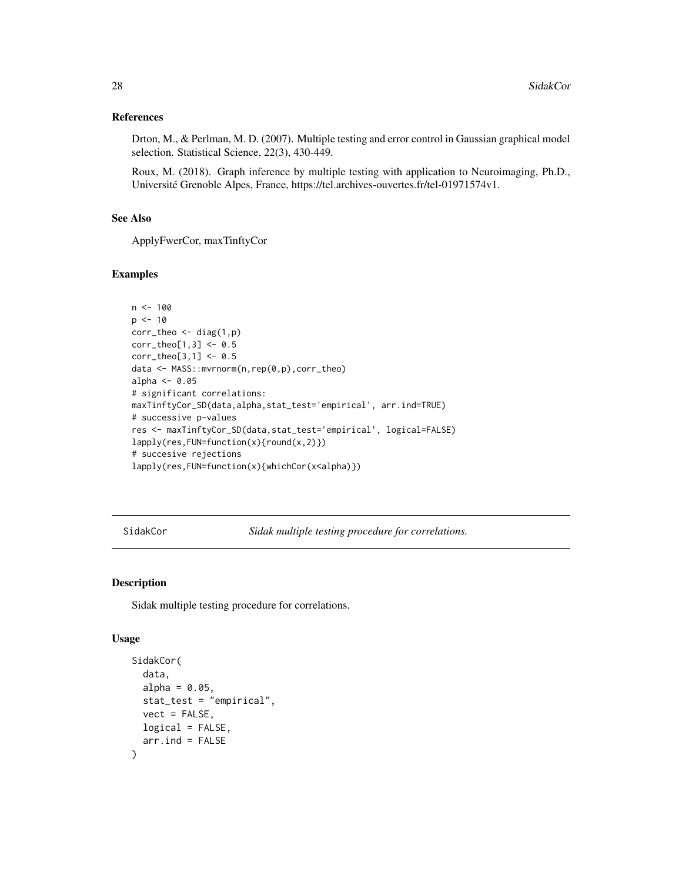#### <span id="page-27-0"></span>References

Drton, M., & Perlman, M. D. (2007). Multiple testing and error control in Gaussian graphical model selection. Statistical Science, 22(3), 430-449.

Roux, M. (2018). Graph inference by multiple testing with application to Neuroimaging, Ph.D., Université Grenoble Alpes, France, https://tel.archives-ouvertes.fr/tel-01971574v1.

# See Also

ApplyFwerCor, maxTinftyCor

#### Examples

```
n < - 100p \le -10corr_{theo} < - diag(1,p)corr_{theo[1,3] < -0.5corr_theo[3,1] <- 0.5
data <- MASS::mvrnorm(n,rep(0,p),corr_theo)
alpha <- 0.05
# significant correlations:
maxTinftyCor_SD(data,alpha,stat_test='empirical', arr.ind=TRUE)
# successive p-values
res <- maxTinftyCor_SD(data,stat_test='empirical', logical=FALSE)
lapply(res,FUN=function(x){round(x,2)})
# succesive rejections
lapply(res,FUN=function(x){whichCor(x<alpha)})
```
SidakCor *Sidak multiple testing procedure for correlations.*

#### Description

Sidak multiple testing procedure for correlations.

### Usage

```
SidakCor(
  data,
  alpha = 0.05,
  stat_test = "empirical",
 vect = FALSE,logical = FALSE,
  arr. ind = FALSE)
```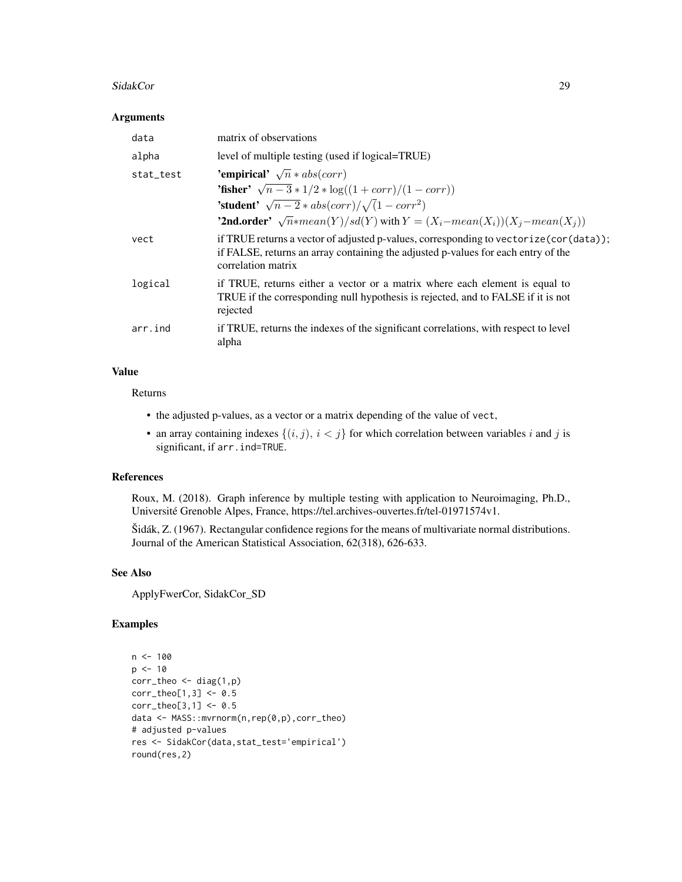#### SidakCor 29

#### Arguments

| data      | matrix of observations                                                                                                                                                                             |
|-----------|----------------------------------------------------------------------------------------------------------------------------------------------------------------------------------------------------|
| alpha     | level of multiple testing (used if logical=TRUE)                                                                                                                                                   |
| stat_test | <b>'empirical'</b> $\sqrt{n} * abs(corr)$                                                                                                                                                          |
|           | <b>'fisher'</b> $\sqrt{n-3} * 1/2 * \log((1 + corr)/(1 - corr))$                                                                                                                                   |
|           | <b>'student'</b> $\sqrt{n-2} * abs(corr)/\sqrt{1-corr^2}$                                                                                                                                          |
|           | <b>'2nd.order'</b> $\sqrt{n}$ *mean(Y)/sd(Y) with $Y = (X_i - mean(X_i))(X_i - mean(X_i))$                                                                                                         |
| vect      | if TRUE returns a vector of adjusted p-values, corresponding to vectorize (cor (data));<br>if FALSE, returns an array containing the adjusted p-values for each entry of the<br>correlation matrix |
| logical   | if TRUE, returns either a vector or a matrix where each element is equal to<br>TRUE if the corresponding null hypothesis is rejected, and to FALSE if it is not<br>rejected                        |
| arr.ind   | if TRUE, returns the indexes of the significant correlations, with respect to level<br>alpha                                                                                                       |

#### Value

Returns

- the adjusted p-values, as a vector or a matrix depending of the value of vect,
- an array containing indexes  $\{(i, j), i < j\}$  for which correlation between variables i and j is significant, if arr.ind=TRUE.

# References

Roux, M. (2018). Graph inference by multiple testing with application to Neuroimaging, Ph.D., Université Grenoble Alpes, France, https://tel.archives-ouvertes.fr/tel-01971574v1.

Šidák, Z. (1967). Rectangular confidence regions for the means of multivariate normal distributions. Journal of the American Statistical Association, 62(318), 626-633.

# See Also

ApplyFwerCor, SidakCor\_SD

# Examples

```
n <- 100
p \le -10corr_{theo} < - diag(1,p)corr_{theo[1,3]} < -0.5corr_{theo[3,1]} < -0.5data <- MASS::mvrnorm(n,rep(0,p),corr_theo)
# adjusted p-values
res <- SidakCor(data,stat_test='empirical')
round(res,2)
```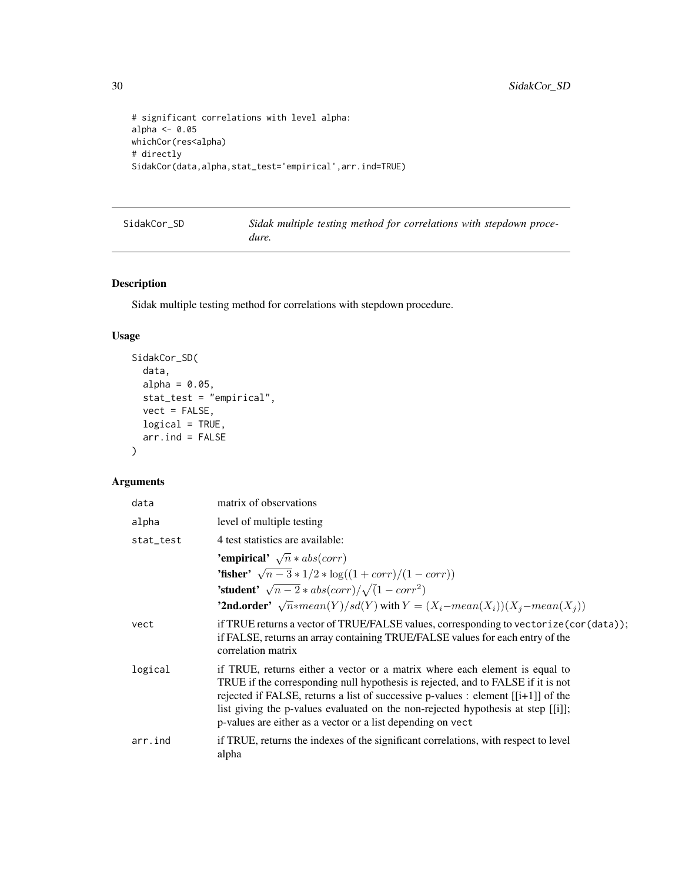```
# significant correlations with level alpha:
alpha <- 0.05
whichCor(res<alpha)
# directly
SidakCor(data,alpha,stat_test='empirical',arr.ind=TRUE)
```
SidakCor\_SD *Sidak multiple testing method for correlations with stepdown procedure.*

# Description

Sidak multiple testing method for correlations with stepdown procedure.

# Usage

```
SidakCor_SD(
  data,
  alpha = 0.05,
  stat_test = "empirical",
  vect = FALSE,logical = TRUE,
  arr.ind = FALSE
\mathcal{L}
```
# Arguments

| data      | matrix of observations                                                                                                                                                                                                                                                                                                                                                                                    |
|-----------|-----------------------------------------------------------------------------------------------------------------------------------------------------------------------------------------------------------------------------------------------------------------------------------------------------------------------------------------------------------------------------------------------------------|
| alpha     | level of multiple testing                                                                                                                                                                                                                                                                                                                                                                                 |
| stat_test | 4 test statistics are available:                                                                                                                                                                                                                                                                                                                                                                          |
|           | 'empirical' $\sqrt{n} * abs(corr)$                                                                                                                                                                                                                                                                                                                                                                        |
|           | <b>'fisher'</b> $\sqrt{n-3} * 1/2 * \log((1 + corr)/(1 - corr))$                                                                                                                                                                                                                                                                                                                                          |
|           | <b>'student'</b> $\sqrt{n-2} * abs(corr)/\sqrt{1-corr^2}$                                                                                                                                                                                                                                                                                                                                                 |
|           | <b>'2nd.order'</b> $\sqrt{n}$ *mean(Y)/sd(Y) with $Y = (X_i - mean(X_i))(X_i - mean(X_i))$                                                                                                                                                                                                                                                                                                                |
| vect      | if TRUE returns a vector of TRUE/FALSE values, corresponding to vectorize (cor (data));<br>if FALSE, returns an array containing TRUE/FALSE values for each entry of the<br>correlation matrix                                                                                                                                                                                                            |
| logical   | if TRUE, returns either a vector or a matrix where each element is equal to<br>TRUE if the corresponding null hypothesis is rejected, and to FALSE if it is not<br>rejected if FALSE, returns a list of successive p-values : element $[[i+1]]$ of the<br>list giving the p-values evaluated on the non-rejected hypothesis at step [[i]];<br>p-values are either as a vector or a list depending on vect |
| arr.ind   | if TRUE, returns the indexes of the significant correlations, with respect to level<br>alpha                                                                                                                                                                                                                                                                                                              |

<span id="page-29-0"></span>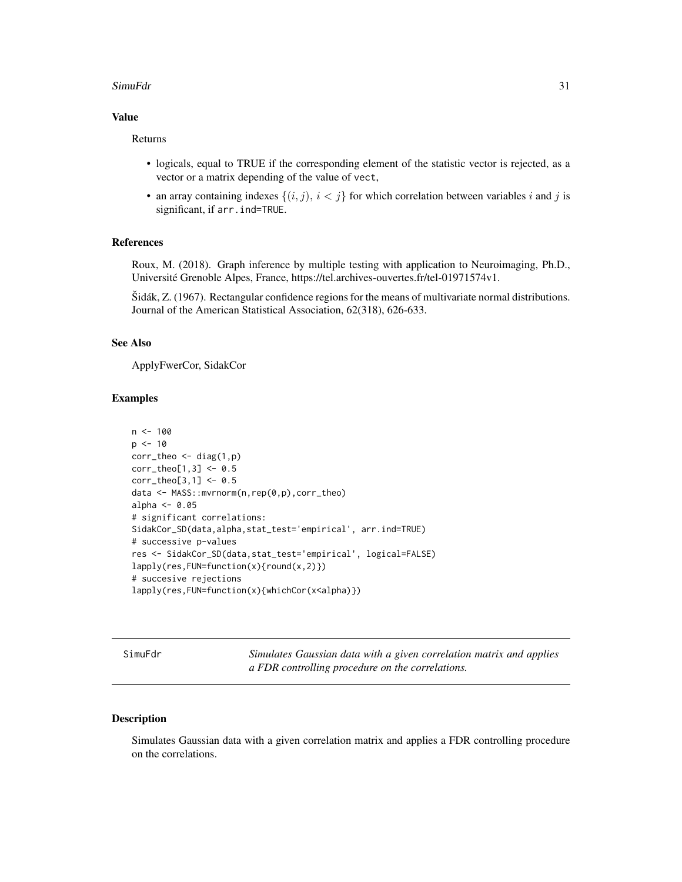#### <span id="page-30-0"></span>SimuFdr 31

#### Value

Returns

- logicals, equal to TRUE if the corresponding element of the statistic vector is rejected, as a vector or a matrix depending of the value of vect,
- an array containing indexes  $\{(i, j), i < j\}$  for which correlation between variables i and j is significant, if arr.ind=TRUE.

#### References

Roux, M. (2018). Graph inference by multiple testing with application to Neuroimaging, Ph.D., Université Grenoble Alpes, France, https://tel.archives-ouvertes.fr/tel-01971574v1.

Šidák, Z. (1967). Rectangular confidence regions for the means of multivariate normal distributions. Journal of the American Statistical Association, 62(318), 626-633.

#### See Also

ApplyFwerCor, SidakCor

#### Examples

```
n < -100p \le -10corr_{theo} < - diag(1,p)corr_{theo[1,3]} < -0.5corr_{theo[3,1]} < 0.5data <- MASS::mvrnorm(n,rep(0,p),corr_theo)
alpha <-0.05# significant correlations:
SidakCor_SD(data,alpha,stat_test='empirical', arr.ind=TRUE)
# successive p-values
res <- SidakCor_SD(data,stat_test='empirical', logical=FALSE)
lapply(res,FUN=function(x){round(x,2)})
# succesive rejections
lapply(res,FUN=function(x){whichCor(x<alpha)})
```
SimuFdr *Simulates Gaussian data with a given correlation matrix and applies a FDR controlling procedure on the correlations.*

#### Description

Simulates Gaussian data with a given correlation matrix and applies a FDR controlling procedure on the correlations.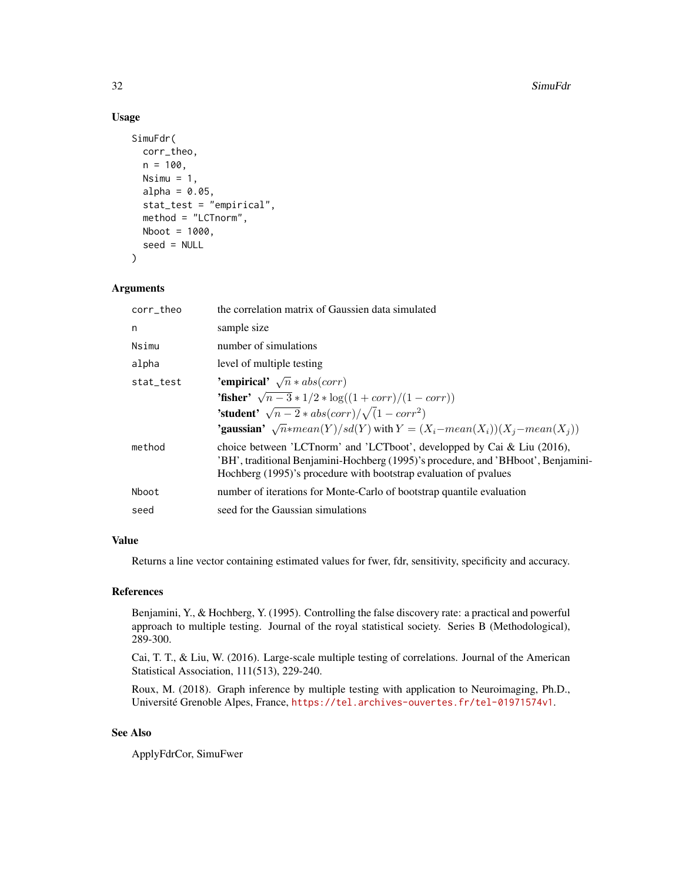#### Usage

```
SimuFdr(
  corr_theo,
 n = 100,Nsim = 1,
  alpha = 0.05,
  stat_test = "empirical",
 method = "LCTnorm",
 Nboot = 1000,seed = NULL
)
```
# Arguments

| the correlation matrix of Gaussien data simulated                                                                                                                                                                                     |  |  |  |
|---------------------------------------------------------------------------------------------------------------------------------------------------------------------------------------------------------------------------------------|--|--|--|
| sample size                                                                                                                                                                                                                           |  |  |  |
| number of simulations                                                                                                                                                                                                                 |  |  |  |
| level of multiple testing                                                                                                                                                                                                             |  |  |  |
| 'empirical' $\sqrt{n} * abs(corr)$<br>stat_test                                                                                                                                                                                       |  |  |  |
| <b>'fisher'</b> $\sqrt{n-3} * 1/2 * \log((1 + corr)/(1 - corr))$                                                                                                                                                                      |  |  |  |
| <b>'student'</b> $\sqrt{n-2} * abs(corr)/\sqrt{1-corr^2}$                                                                                                                                                                             |  |  |  |
| <b>'gaussian'</b> $\sqrt{n}$ *mean(Y)/sd(Y) with $Y = (X_i - mean(X_i))(X_i - mean(X_i))$                                                                                                                                             |  |  |  |
| choice between 'LCT norm' and 'LCT boot', developped by Cai & Liu $(2016)$ ,<br>'BH', traditional Benjamini-Hochberg (1995)'s procedure, and 'BHboot', Benjamini-<br>Hochberg (1995)'s procedure with bootstrap evaluation of pvalues |  |  |  |
| number of iterations for Monte-Carlo of bootstrap quantile evaluation                                                                                                                                                                 |  |  |  |
| seed for the Gaussian simulations                                                                                                                                                                                                     |  |  |  |
|                                                                                                                                                                                                                                       |  |  |  |

# Value

Returns a line vector containing estimated values for fwer, fdr, sensitivity, specificity and accuracy.

# References

Benjamini, Y., & Hochberg, Y. (1995). Controlling the false discovery rate: a practical and powerful approach to multiple testing. Journal of the royal statistical society. Series B (Methodological), 289-300.

Cai, T. T., & Liu, W. (2016). Large-scale multiple testing of correlations. Journal of the American Statistical Association, 111(513), 229-240.

Roux, M. (2018). Graph inference by multiple testing with application to Neuroimaging, Ph.D., Université Grenoble Alpes, France, <https://tel.archives-ouvertes.fr/tel-01971574v1>.

# See Also

ApplyFdrCor, SimuFwer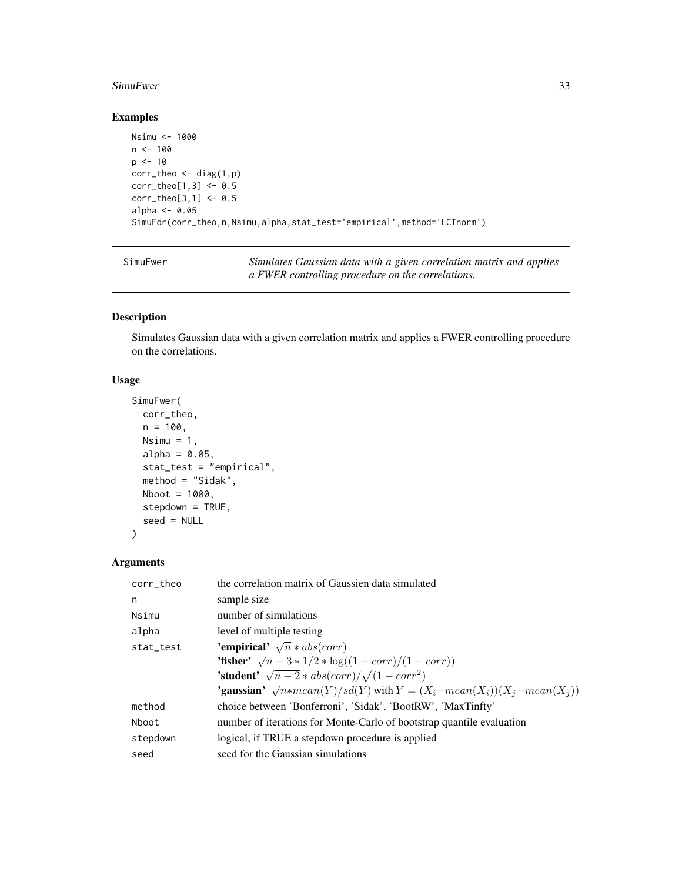#### <span id="page-32-0"></span>SimuFwer 33

# Examples

```
Nsimu <- 1000
n <- 100
p \le -10corr_{theo} \leftarrow diag(1,p)corr_{theo[1,3]} < -0.5corr_theo[3,1] <- 0.5
alpha <- 0.05
SimuFdr(corr_theo,n,Nsimu,alpha,stat_test='empirical',method='LCTnorm')
```

| SimuFwer |  |
|----------|--|
|----------|--|

Simulates Gaussian data with a given correlation matrix and applies *a FWER controlling procedure on the correlations.*

# Description

Simulates Gaussian data with a given correlation matrix and applies a FWER controlling procedure on the correlations.

# Usage

```
SimuFwer(
 corr_theo,
 n = 100,Nsim = 1,
  alpha = 0.05,
  stat_test = "empirical",
 method = "Sidak",
 Nboot = 1000,stepdown = TRUE,
  seed = NULL
\mathcal{L}
```
# Arguments

| corr_theo | the correlation matrix of Gaussien data simulated                                         |  |  |  |
|-----------|-------------------------------------------------------------------------------------------|--|--|--|
| n         | sample size                                                                               |  |  |  |
| Nsimu     | number of simulations                                                                     |  |  |  |
| alpha     | level of multiple testing                                                                 |  |  |  |
| stat_test | <b>'empirical'</b> $\sqrt{n} * abs(corr)$                                                 |  |  |  |
|           | <b>'fisher'</b> $\sqrt{n-3} * 1/2 * \log((1 + corr)/(1 - corr))$                          |  |  |  |
|           | <b>'student'</b> $\sqrt{n-2} * abs(corr)/\sqrt{1-corr^2}$                                 |  |  |  |
|           | <b>'gaussian'</b> $\sqrt{n}$ *mean(Y)/sd(Y) with $Y = (X_i - mean(X_i))(X_i - mean(X_i))$ |  |  |  |
| method    | choice between 'Bonferroni', 'Sidak', 'BootRW', 'MaxTinfty'                               |  |  |  |
| Nboot     | number of iterations for Monte-Carlo of bootstrap quantile evaluation                     |  |  |  |
| stepdown  | logical, if TRUE a stepdown procedure is applied                                          |  |  |  |
| seed      | seed for the Gaussian simulations                                                         |  |  |  |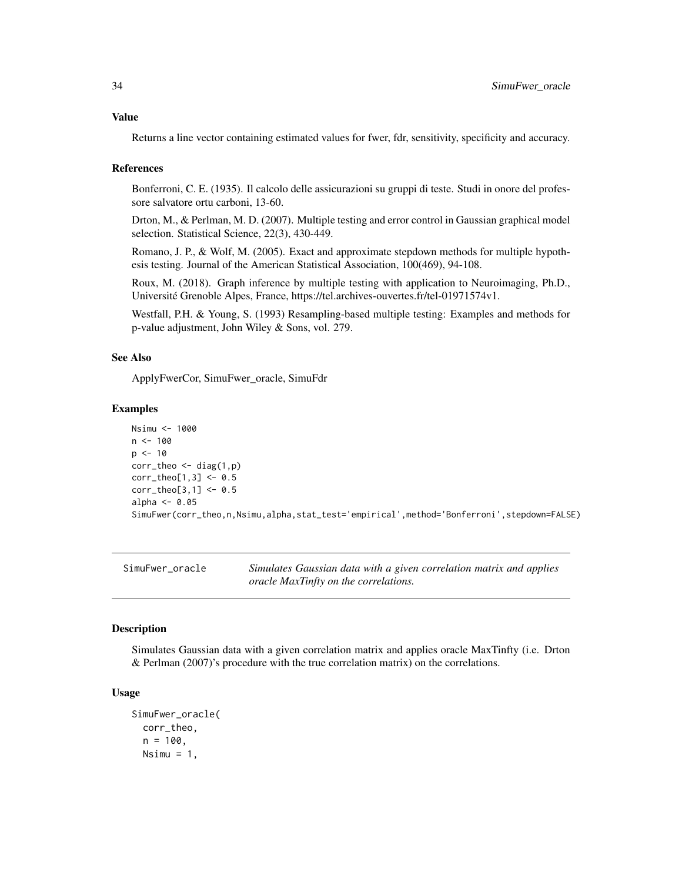#### <span id="page-33-0"></span>Value

Returns a line vector containing estimated values for fwer, fdr, sensitivity, specificity and accuracy.

#### References

Bonferroni, C. E. (1935). Il calcolo delle assicurazioni su gruppi di teste. Studi in onore del professore salvatore ortu carboni, 13-60.

Drton, M., & Perlman, M. D. (2007). Multiple testing and error control in Gaussian graphical model selection. Statistical Science, 22(3), 430-449.

Romano, J. P., & Wolf, M. (2005). Exact and approximate stepdown methods for multiple hypothesis testing. Journal of the American Statistical Association, 100(469), 94-108.

Roux, M. (2018). Graph inference by multiple testing with application to Neuroimaging, Ph.D., Université Grenoble Alpes, France, https://tel.archives-ouvertes.fr/tel-01971574v1.

Westfall, P.H. & Young, S. (1993) Resampling-based multiple testing: Examples and methods for p-value adjustment, John Wiley & Sons, vol. 279.

#### See Also

ApplyFwerCor, SimuFwer\_oracle, SimuFdr

#### Examples

```
Nsimu <- 1000
n < - 100p \le -10corr_{theo} < - diag(1,p)corr_theo[1,3] <- 0.5
corr_{theo[3,1]} < -0.5alpha <- 0.05
SimuFwer(corr_theo,n,Nsimu,alpha,stat_test='empirical',method='Bonferroni',stepdown=FALSE)
```
SimuFwer\_oracle *Simulates Gaussian data with a given correlation matrix and applies oracle MaxTinfty on the correlations.*

#### **Description**

Simulates Gaussian data with a given correlation matrix and applies oracle MaxTinfty (i.e. Drton & Perlman (2007)'s procedure with the true correlation matrix) on the correlations.

#### Usage

```
SimuFwer_oracle(
  corr_theo,
  n = 100,
 Nsim = 1,
```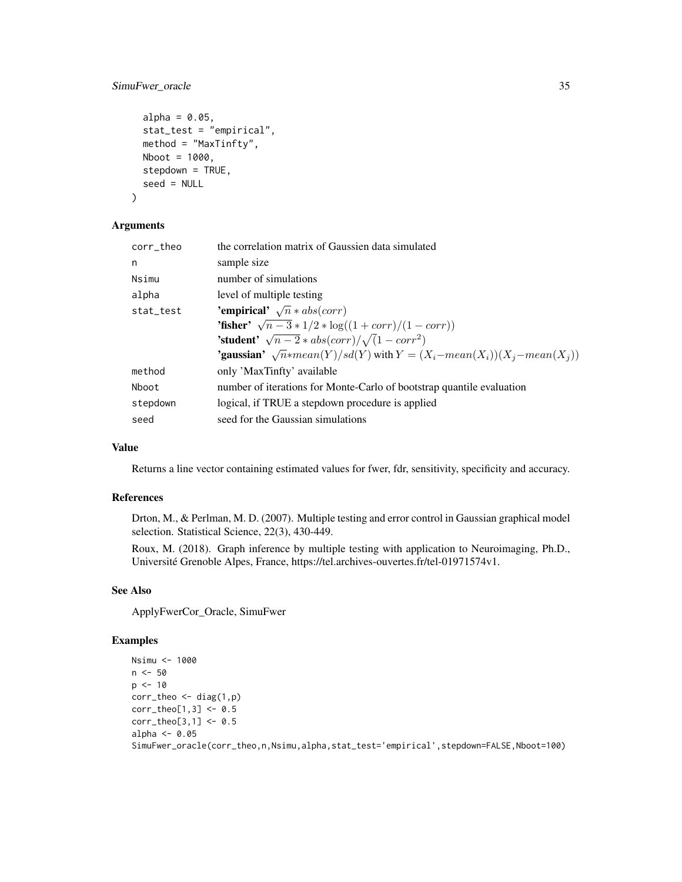# SimuFwer\_oracle 35

```
alpha = 0.05,
stat_test = "empirical",
method = "MaxTinfty",
Nboot = 1000,stepdown = TRUE,
seed = NULL
```
# Arguments

)

| corr theo                                       | the correlation matrix of Gaussien data simulated                                         |  |  |
|-------------------------------------------------|-------------------------------------------------------------------------------------------|--|--|
| n                                               | sample size                                                                               |  |  |
| Nsimu                                           | number of simulations                                                                     |  |  |
| alpha                                           | level of multiple testing                                                                 |  |  |
| 'empirical' $\sqrt{n} * abs(corr)$<br>stat_test |                                                                                           |  |  |
|                                                 | <b>'fisher'</b> $\sqrt{n-3} * 1/2 * \log((1 + corr)/(1 - corr))$                          |  |  |
|                                                 | <b>'student'</b> $\sqrt{n-2} * abs(corr)/\sqrt{1-corr^2}$                                 |  |  |
|                                                 | <b>'gaussian'</b> $\sqrt{n}$ *mean(Y)/sd(Y) with $Y = (X_i - mean(X_i))(X_i - mean(X_i))$ |  |  |
| method                                          | only 'MaxTinfty' available                                                                |  |  |
| Nboot                                           | number of iterations for Monte-Carlo of bootstrap quantile evaluation                     |  |  |
| stepdown                                        | logical, if TRUE a stepdown procedure is applied                                          |  |  |
| seed                                            | seed for the Gaussian simulations                                                         |  |  |
|                                                 |                                                                                           |  |  |

# Value

Returns a line vector containing estimated values for fwer, fdr, sensitivity, specificity and accuracy.

# References

Drton, M., & Perlman, M. D. (2007). Multiple testing and error control in Gaussian graphical model selection. Statistical Science, 22(3), 430-449.

Roux, M. (2018). Graph inference by multiple testing with application to Neuroimaging, Ph.D., Université Grenoble Alpes, France, https://tel.archives-ouvertes.fr/tel-01971574v1.

#### See Also

ApplyFwerCor\_Oracle, SimuFwer

#### Examples

```
Nsimu <- 1000
n <- 50
p \le -10corr_{theo} \leftarrow diag(1,p)corr_{theo[1,3] < -0.5corr_theo[3,1] <- 0.5
alpha <- 0.05
SimuFwer_oracle(corr_theo,n,Nsimu,alpha,stat_test='empirical',stepdown=FALSE,Nboot=100)
```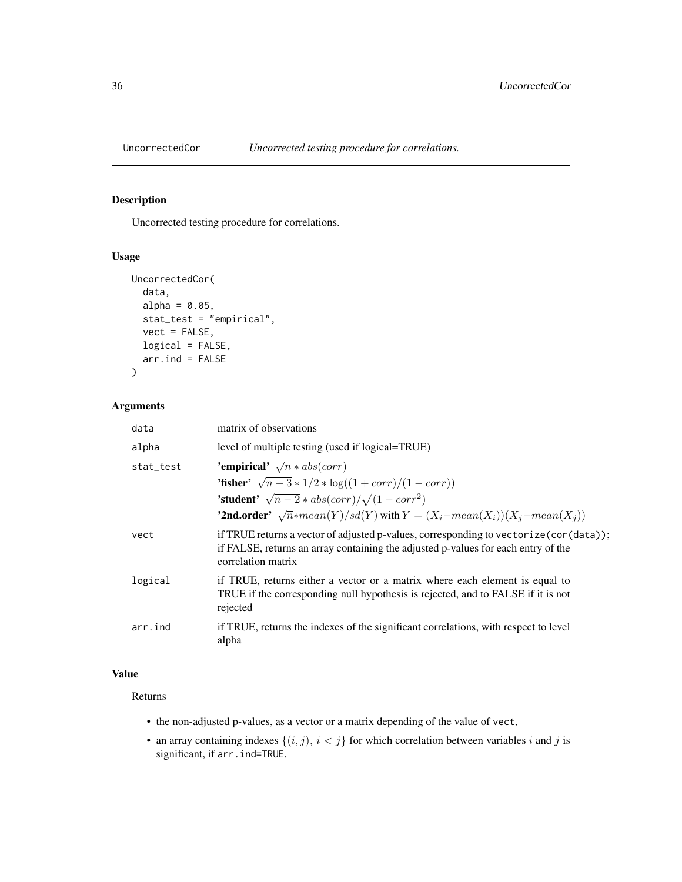<span id="page-35-0"></span>

# Description

Uncorrected testing procedure for correlations.

# Usage

```
UncorrectedCor(
  data,
  alpha = 0.05,
  stat_test = "empirical",
  vect = FALSE,logical = FALSE,
  arr. ind = FALSE)
```
# Arguments

| data      | matrix of observations                                                                                                                                                                             |  |  |  |
|-----------|----------------------------------------------------------------------------------------------------------------------------------------------------------------------------------------------------|--|--|--|
| alpha     | level of multiple testing (used if logical=TRUE)                                                                                                                                                   |  |  |  |
| stat_test | 'empirical' $\sqrt{n} * abs(corr)$                                                                                                                                                                 |  |  |  |
|           | <b>'fisher'</b> $\sqrt{n-3} * 1/2 * \log((1 + corr)/(1 - corr))$                                                                                                                                   |  |  |  |
|           | <b>'student'</b> $\sqrt{n-2} * abs(corr)/\sqrt{1-corr^2}$                                                                                                                                          |  |  |  |
|           | <b>'2nd.order'</b> $\sqrt{n}$ *mean(Y)/sd(Y) with $Y = (X_i - mean(X_i))(X_i - mean(X_i))$                                                                                                         |  |  |  |
| vect      | if TRUE returns a vector of adjusted p-values, corresponding to vectorize (cor (data));<br>if FALSE, returns an array containing the adjusted p-values for each entry of the<br>correlation matrix |  |  |  |
| logical   | if TRUE, returns either a vector or a matrix where each element is equal to<br>TRUE if the corresponding null hypothesis is rejected, and to FALSE if it is not<br>rejected                        |  |  |  |
| arr.ind   | if TRUE, returns the indexes of the significant correlations, with respect to level<br>alpha                                                                                                       |  |  |  |

# Value

# Returns

- the non-adjusted p-values, as a vector or a matrix depending of the value of vect,
- an array containing indexes  $\{(i, j), i < j\}$  for which correlation between variables i and j is significant, if arr.ind=TRUE.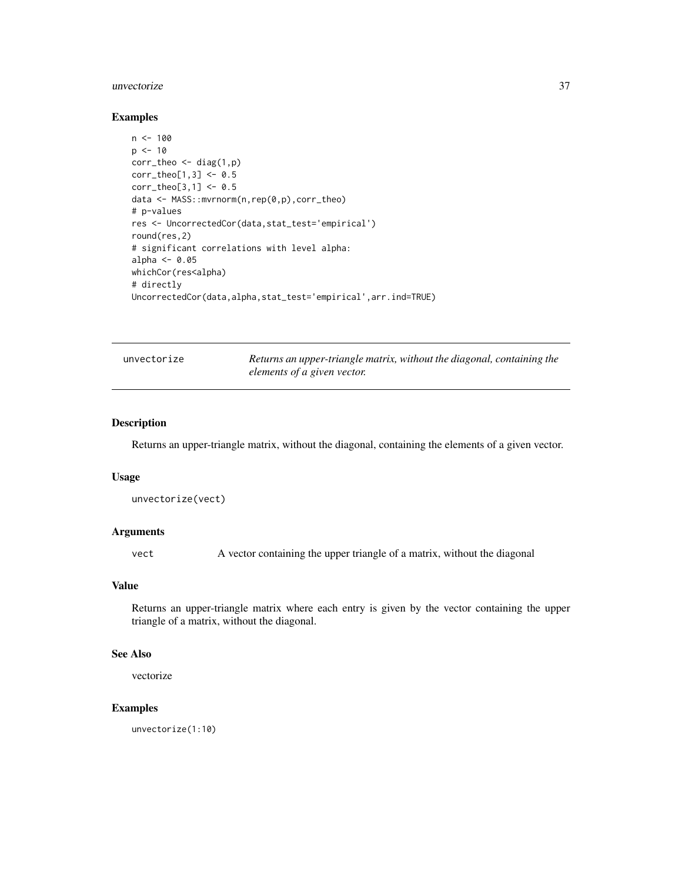#### <span id="page-36-0"></span>unvectorize 37

#### Examples

```
n < -100p \le -10corr_theo <- diag(1,p)
corr_{theo[1,3] < -0.5corr_theo[3,1] <- 0.5
data <- MASS::mvrnorm(n,rep(0,p),corr_theo)
# p-values
res <- UncorrectedCor(data,stat_test='empirical')
round(res,2)
# significant correlations with level alpha:
alpha <- 0.05
whichCor(res<alpha)
# directly
UncorrectedCor(data,alpha,stat_test='empirical',arr.ind=TRUE)
```

|  | unvectorize |
|--|-------------|
|  |             |
|  |             |
|  |             |

Returns an upper-triangle matrix, without the diagonal, containing the *elements of a given vector.*

# Description

Returns an upper-triangle matrix, without the diagonal, containing the elements of a given vector.

#### Usage

```
unvectorize(vect)
```
# Arguments

vect A vector containing the upper triangle of a matrix, without the diagonal

### Value

Returns an upper-triangle matrix where each entry is given by the vector containing the upper triangle of a matrix, without the diagonal.

# See Also

vectorize

#### Examples

unvectorize(1:10)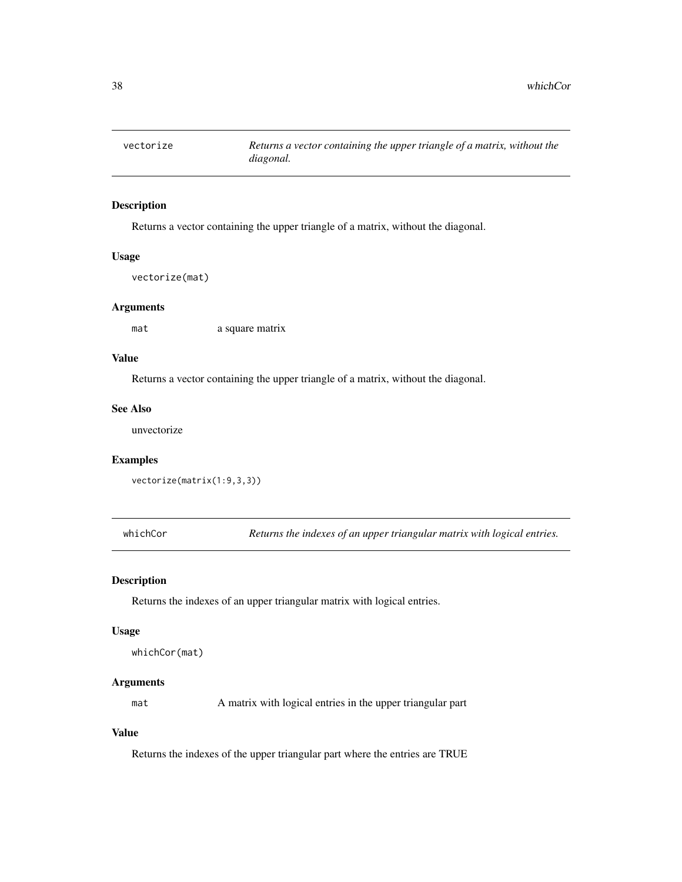<span id="page-37-0"></span>

#### Description

Returns a vector containing the upper triangle of a matrix, without the diagonal.

# Usage

vectorize(mat)

#### Arguments

mat a square matrix

# Value

Returns a vector containing the upper triangle of a matrix, without the diagonal.

#### See Also

unvectorize

# Examples

vectorize(matrix(1:9,3,3))

whichCor *Returns the indexes of an upper triangular matrix with logical entries.*

#### Description

Returns the indexes of an upper triangular matrix with logical entries.

#### Usage

```
whichCor(mat)
```
### Arguments

mat A matrix with logical entries in the upper triangular part

# Value

Returns the indexes of the upper triangular part where the entries are TRUE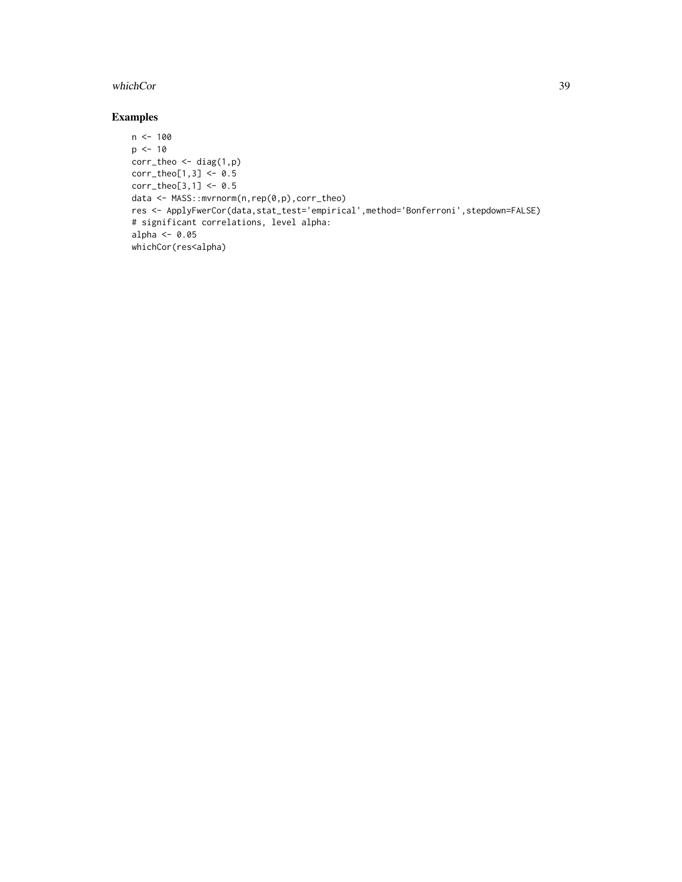#### whichCor 39

# Examples

```
n < -100p \le -10corr_{theo} < - diag(1,p)corr_{theo[1,3]} < -0.5corr_{theo[3,1]} < -0.5data <- MASS::mvrnorm(n,rep(0,p),corr_theo)
res <- ApplyFwerCor(data,stat_test='empirical',method='Bonferroni',stepdown=FALSE)
# significant correlations, level alpha:
alpha <- 0.05
whichCor(res<alpha)
```